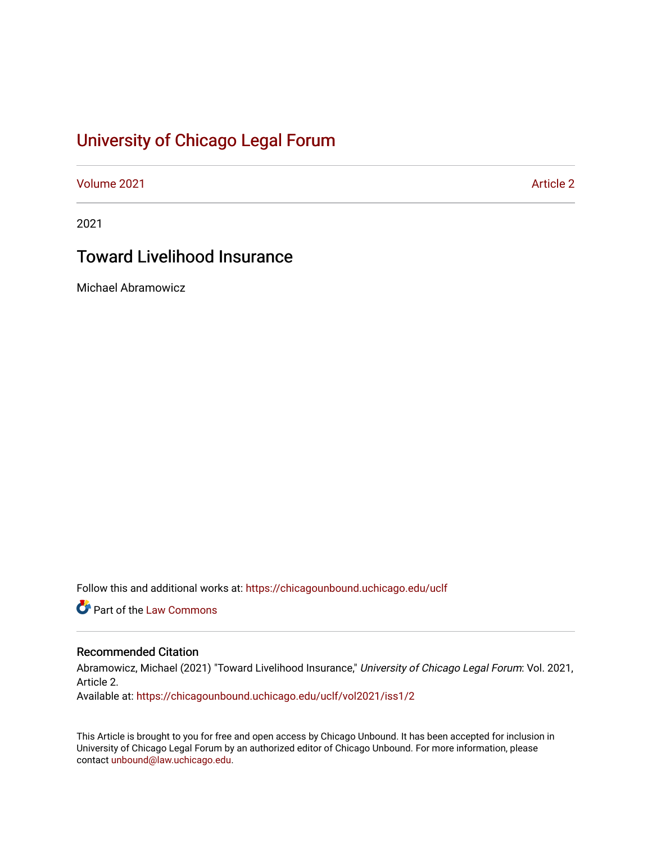# [University of Chicago Legal Forum](https://chicagounbound.uchicago.edu/uclf)

[Volume 2021](https://chicagounbound.uchicago.edu/uclf/vol2021) **Article 2** Article 2

2021

# Toward Livelihood Insurance

Michael Abramowicz

Follow this and additional works at: [https://chicagounbound.uchicago.edu/uclf](https://chicagounbound.uchicago.edu/uclf?utm_source=chicagounbound.uchicago.edu%2Fuclf%2Fvol2021%2Fiss1%2F2&utm_medium=PDF&utm_campaign=PDFCoverPages) 

Part of the [Law Commons](https://network.bepress.com/hgg/discipline/578?utm_source=chicagounbound.uchicago.edu%2Fuclf%2Fvol2021%2Fiss1%2F2&utm_medium=PDF&utm_campaign=PDFCoverPages)

# Recommended Citation

Abramowicz, Michael (2021) "Toward Livelihood Insurance," University of Chicago Legal Forum: Vol. 2021, Article 2.

Available at: [https://chicagounbound.uchicago.edu/uclf/vol2021/iss1/2](https://chicagounbound.uchicago.edu/uclf/vol2021/iss1/2?utm_source=chicagounbound.uchicago.edu%2Fuclf%2Fvol2021%2Fiss1%2F2&utm_medium=PDF&utm_campaign=PDFCoverPages) 

This Article is brought to you for free and open access by Chicago Unbound. It has been accepted for inclusion in University of Chicago Legal Forum by an authorized editor of Chicago Unbound. For more information, please contact [unbound@law.uchicago.edu](mailto:unbound@law.uchicago.edu).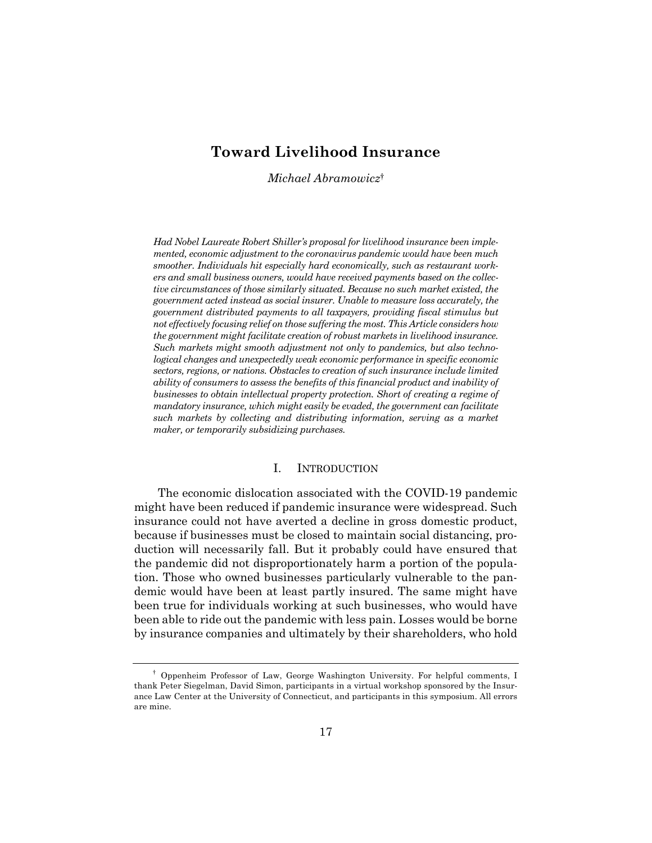# **Toward Livelihood Insurance**

*Michael Abramowicz*†

*Had Nobel Laureate Robert Shiller's proposal for livelihood insurance been implemented, economic adjustment to the coronavirus pandemic would have been much smoother. Individuals hit especially hard economically, such as restaurant workers and small business owners, would have received payments based on the collective circumstances of those similarly situated. Because no such market existed, the government acted instead as social insurer. Unable to measure loss accurately, the government distributed payments to all taxpayers, providing fiscal stimulus but not effectively focusing relief on those suffering the most. This Article considers how the government might facilitate creation of robust markets in livelihood insurance. Such markets might smooth adjustment not only to pandemics, but also technological changes and unexpectedly weak economic performance in specific economic sectors, regions, or nations. Obstacles to creation of such insurance include limited ability of consumers to assess the benefits of this financial product and inability of businesses to obtain intellectual property protection. Short of creating a regime of mandatory insurance, which might easily be evaded, the government can facilitate such markets by collecting and distributing information, serving as a market maker, or temporarily subsidizing purchases.*

# I. INTRODUCTION

The economic dislocation associated with the COVID-19 pandemic might have been reduced if pandemic insurance were widespread. Such insurance could not have averted a decline in gross domestic product, because if businesses must be closed to maintain social distancing, production will necessarily fall. But it probably could have ensured that the pandemic did not disproportionately harm a portion of the population. Those who owned businesses particularly vulnerable to the pandemic would have been at least partly insured. The same might have been true for individuals working at such businesses, who would have been able to ride out the pandemic with less pain. Losses would be borne by insurance companies and ultimately by their shareholders, who hold

<sup>†</sup> Oppenheim Professor of Law, George Washington University. For helpful comments, I thank Peter Siegelman, David Simon, participants in a virtual workshop sponsored by the Insurance Law Center at the University of Connecticut, and participants in this symposium. All errors are mine.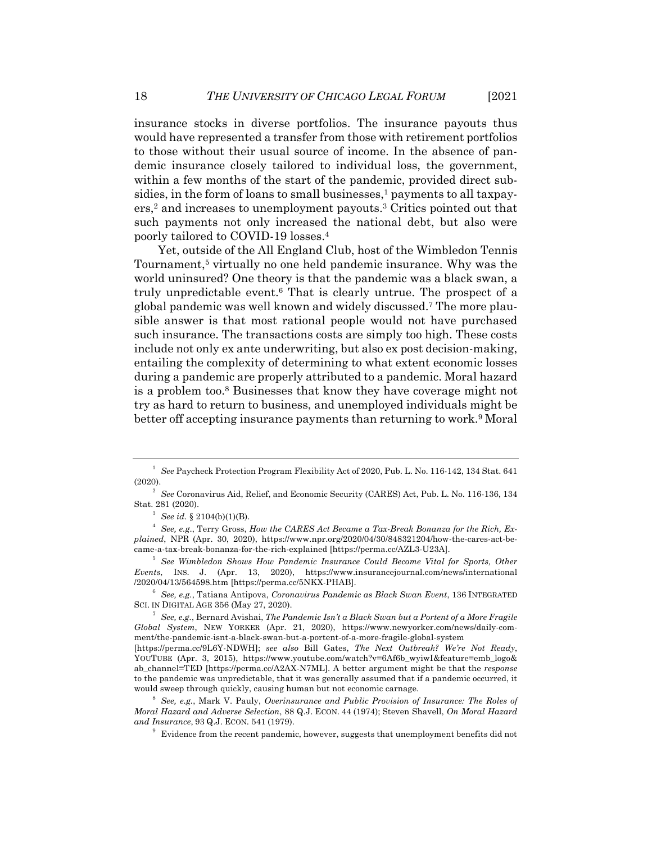insurance stocks in diverse portfolios. The insurance payouts thus would have represented a transfer from those with retirement portfolios to those without their usual source of income. In the absence of pandemic insurance closely tailored to individual loss, the government, within a few months of the start of the pandemic, provided direct subsidies, in the form of loans to small businesses, $\frac{1}{2}$  payments to all taxpayers,2 and increases to unemployment payouts.3 Critics pointed out that such payments not only increased the national debt, but also were poorly tailored to COVID-19 losses.4

Yet, outside of the All England Club, host of the Wimbledon Tennis Tournament,5 virtually no one held pandemic insurance. Why was the world uninsured? One theory is that the pandemic was a black swan, a truly unpredictable event. $6$  That is clearly untrue. The prospect of a global pandemic was well known and widely discussed.7 The more plausible answer is that most rational people would not have purchased such insurance. The transactions costs are simply too high. These costs include not only ex ante underwriting, but also ex post decision-making, entailing the complexity of determining to what extent economic losses during a pandemic are properly attributed to a pandemic. Moral hazard is a problem too.8 Businesses that know they have coverage might not try as hard to return to business, and unemployed individuals might be better off accepting insurance payments than returning to work.<sup>9</sup> Moral

<sup>1</sup> *See* Paycheck Protection Program Flexibility Act of 2020, Pub. L. No. 116-142, 134 Stat. 641 (2020).

<sup>2</sup> *See* Coronavirus Aid, Relief, and Economic Security (CARES) Act, Pub. L. No. 116-136, 134 Stat. 281 (2020).

<sup>3</sup> *See id.* § 2104(b)(1)(B).

<sup>4</sup> *See, e.g*., Terry Gross, *How the CARES Act Became a Tax-Break Bonanza for the Rich, Explained*, NPR (Apr. 30, 2020), https://www.npr.org/2020/04/30/848321204/how-the-cares-act-became-a-tax-break-bonanza-for-the-rich-explained [https://perma.cc/AZL3-U23A].

<sup>5</sup> *See Wimbledon Shows How Pandemic Insurance Could Become Vital for Sports, Other Events*, INS. J. (Apr. 13, 2020), https://www.insurancejournal.com/news/international /2020/04/13/564598.htm [https://perma.cc/5NKX-PHAB].

<sup>6</sup> *See, e.g.*, Tatiana Antipova, *Coronavirus Pandemic as Black Swan Event*, 136 INTEGRATED SCI. IN DIGITAL AGE 356 (May 27, 2020).

<sup>7</sup> *See, e.g.*, Bernard Avishai, *The Pandemic Isn't a Black Swan but a Portent of a More Fragile Global System*, NEW YORKER (Apr. 21, 2020), https://www.newyorker.com/news/daily-comment/the-pandemic-isnt-a-black-swan-but-a-portent-of-a-more-fragile-global-system

<sup>[</sup>https://perma.cc/9L6Y-NDWH]; *see also* Bill Gates, *The Next Outbreak? We're Not Ready*, YOUTUBE (Apr. 3, 2015), https://www.youtube.com/watch?v=6Af6b\_wyiwI&feature=emb\_logo& ab\_channel=TED [https://perma.cc/A2AX-N7ML]. A better argument might be that the *response* to the pandemic was unpredictable, that it was generally assumed that if a pandemic occurred, it would sweep through quickly, causing human but not economic carnage.

<sup>8</sup> *See, e.g.*, Mark V. Pauly, *Overinsurance and Public Provision of Insurance: The Roles of Moral Hazard and Adverse Selection*, 88 Q.J. ECON. 44 (1974); Steven Shavell, *On Moral Hazard and Insurance*, 93 Q.J. ECON. 541 (1979).

 $9$  Evidence from the recent pandemic, however, suggests that unemployment benefits did not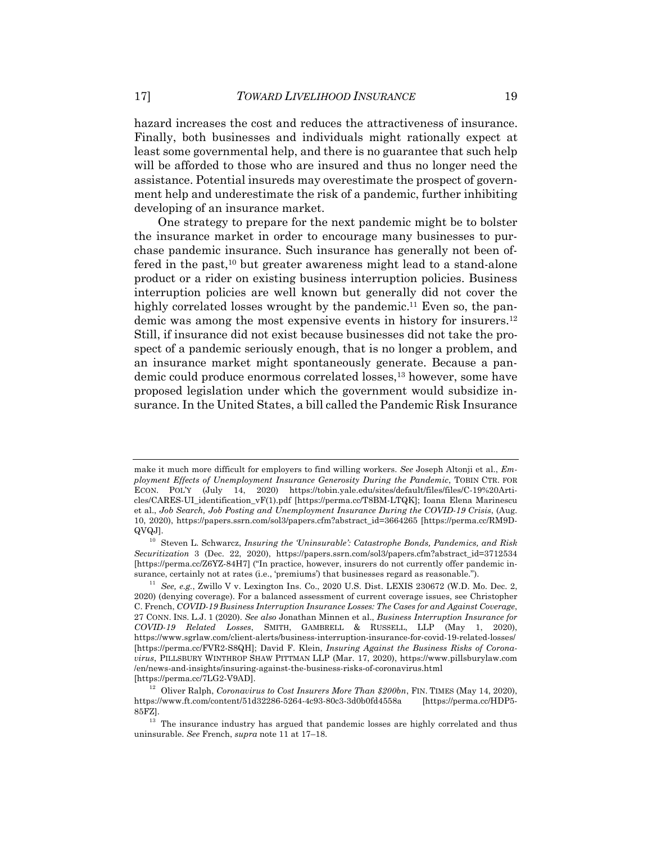hazard increases the cost and reduces the attractiveness of insurance. Finally, both businesses and individuals might rationally expect at least some governmental help, and there is no guarantee that such help will be afforded to those who are insured and thus no longer need the assistance. Potential insureds may overestimate the prospect of government help and underestimate the risk of a pandemic, further inhibiting developing of an insurance market.

One strategy to prepare for the next pandemic might be to bolster the insurance market in order to encourage many businesses to purchase pandemic insurance. Such insurance has generally not been offered in the past,10 but greater awareness might lead to a stand-alone product or a rider on existing business interruption policies. Business interruption policies are well known but generally did not cover the highly correlated losses wrought by the pandemic.<sup>11</sup> Even so, the pandemic was among the most expensive events in history for insurers.12 Still, if insurance did not exist because businesses did not take the prospect of a pandemic seriously enough, that is no longer a problem, and an insurance market might spontaneously generate. Because a pandemic could produce enormous correlated losses,13 however, some have proposed legislation under which the government would subsidize insurance. In the United States, a bill called the Pandemic Risk Insurance

make it much more difficult for employers to find willing workers. *See* Joseph Altonji et al., *Employment Effects of Unemployment Insurance Generosity During the Pandemic*, TOBIN CTR. FOR ECON. POL'Y (July 14, 2020) https://tobin.yale.edu/sites/default/files/files/C-19%20Articles/CARES-UI\_identification\_vF(1).pdf [https://perma.cc/T8BM-LTQK]; Ioana Elena Marinescu et al., *Job Search, Job Posting and Unemployment Insurance During the COVID-19 Crisis*, (Aug. 10, 2020), https://papers.ssrn.com/sol3/papers.cfm?abstract\_id=3664265 [https://perma.cc/RM9D-QVQJ].

<sup>10</sup> Steven L. Schwarcz, *Insuring the 'Uninsurable': Catastrophe Bonds, Pandemics, and Risk Securitization* 3 (Dec. 22, 2020), https://papers.ssrn.com/sol3/papers.cfm?abstract\_id=3712534 [https://perma.cc/Z6YZ-84H7] ("In practice, however, insurers do not currently offer pandemic insurance, certainly not at rates (i.e., 'premiums') that businesses regard as reasonable.").

<sup>11</sup> *See, e.g.*, Zwillo V v. Lexington Ins. Co., 2020 U.S. Dist. LEXIS 230672 (W.D. Mo. Dec. 2, 2020) (denying coverage). For a balanced assessment of current coverage issues, see Christopher C. French, *COVID-19 Business Interruption Insurance Losses: The Cases for and Against Coverage*, 27 CONN. INS. L.J. 1 (2020). *See also* Jonathan Minnen et al., *Business Interruption Insurance for COVID-19 Related Losses*, SMITH, GAMBRELL & RUSSELL, LLP (May 1, 2020), https://www.sgrlaw.com/client-alerts/business-interruption-insurance-for-covid-19-related-losses/ [https://perma.cc/FVR2-S8QH]; David F. Klein, *Insuring Against the Business Risks of Coronavirus*, PILLSBURY WINTHROP SHAW PITTMAN LLP (Mar. 17, 2020), https://www.pillsburylaw.com /en/news-and-insights/insuring-against-the-business-risks-of-coronavirus.html [https://perma.cc/7LG2-V9AD].

<sup>&</sup>lt;sup>12</sup> Oliver Ralph, *Coronavirus to Cost Insurers More Than \$200bn*, FIN. TIMES (May 14, 2020), https://www.ft.com/content/51d32286-5264-4c93-80c3-3d0b0fd4558a [https://perma.cc/HDP5- 85FZ].

 $13$  The insurance industry has argued that pandemic losses are highly correlated and thus uninsurable. *See* French, *supra* note 11 at 17–18.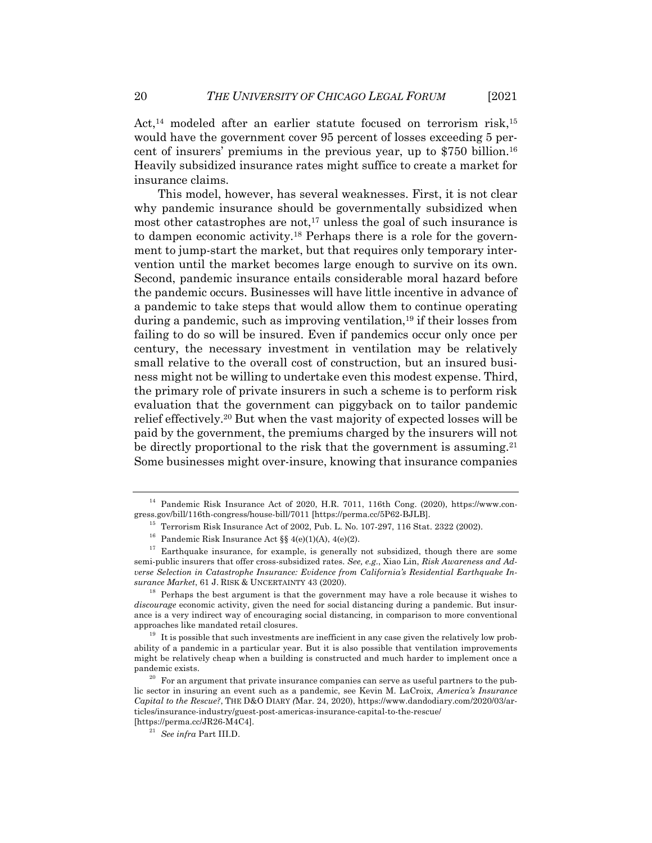Act,<sup>14</sup> modeled after an earlier statute focused on terrorism risk,<sup>15</sup> would have the government cover 95 percent of losses exceeding 5 percent of insurers' premiums in the previous year, up to \$750 billion.16 Heavily subsidized insurance rates might suffice to create a market for insurance claims.

This model, however, has several weaknesses. First, it is not clear why pandemic insurance should be governmentally subsidized when most other catastrophes are not,<sup>17</sup> unless the goal of such insurance is to dampen economic activity.18 Perhaps there is a role for the government to jump-start the market, but that requires only temporary intervention until the market becomes large enough to survive on its own. Second, pandemic insurance entails considerable moral hazard before the pandemic occurs. Businesses will have little incentive in advance of a pandemic to take steps that would allow them to continue operating during a pandemic, such as improving ventilation,19 if their losses from failing to do so will be insured. Even if pandemics occur only once per century, the necessary investment in ventilation may be relatively small relative to the overall cost of construction, but an insured business might not be willing to undertake even this modest expense. Third, the primary role of private insurers in such a scheme is to perform risk evaluation that the government can piggyback on to tailor pandemic relief effectively.20 But when the vast majority of expected losses will be paid by the government, the premiums charged by the insurers will not be directly proportional to the risk that the government is assuming.<sup>21</sup> Some businesses might over-insure, knowing that insurance companies

<sup>18</sup> Perhaps the best argument is that the government may have a role because it wishes to *discourage* economic activity, given the need for social distancing during a pandemic. But insurance is a very indirect way of encouraging social distancing, in comparison to more conventional approaches like mandated retail closures.

 $19$  It is possible that such investments are inefficient in any case given the relatively low probability of a pandemic in a particular year. But it is also possible that ventilation improvements might be relatively cheap when a building is constructed and much harder to implement once a pandemic exists.

<sup>&</sup>lt;sup>14</sup> Pandemic Risk Insurance Act of 2020, H.R. 7011, 116th Cong. (2020), https://www.congress.gov/bill/116th-congress/house-bill/7011 [https://perma.cc/5P62-BJLB].

<sup>15</sup> Terrorism Risk Insurance Act of 2002, Pub. L. No. 107-297, 116 Stat. 2322 (2002).

<sup>&</sup>lt;sup>16</sup> Pandemic Risk Insurance Act §§ 4(e)(1)(A), 4(e)(2).

 $17$  Earthquake insurance, for example, is generally not subsidized, though there are some semi-public insurers that offer cross-subsidized rates. *See, e.g.*, Xiao Lin, *Risk Awareness and Adverse Selection in Catastrophe Insurance: Evidence from California's Residential Earthquake Insurance Market*, 61 J. RISK & UNCERTAINTY 43 (2020).

 $20$  For an argument that private insurance companies can serve as useful partners to the public sector in insuring an event such as a pandemic, see Kevin M. LaCroix, *America's Insurance Capital to the Rescue?*, THE D&O DIARY *(*Mar. 24, 2020), https://www.dandodiary.com/2020/03/articles/insurance-industry/guest-post-americas-insurance-capital-to-the-rescue/ [https://perma.cc/JR26-M4C4].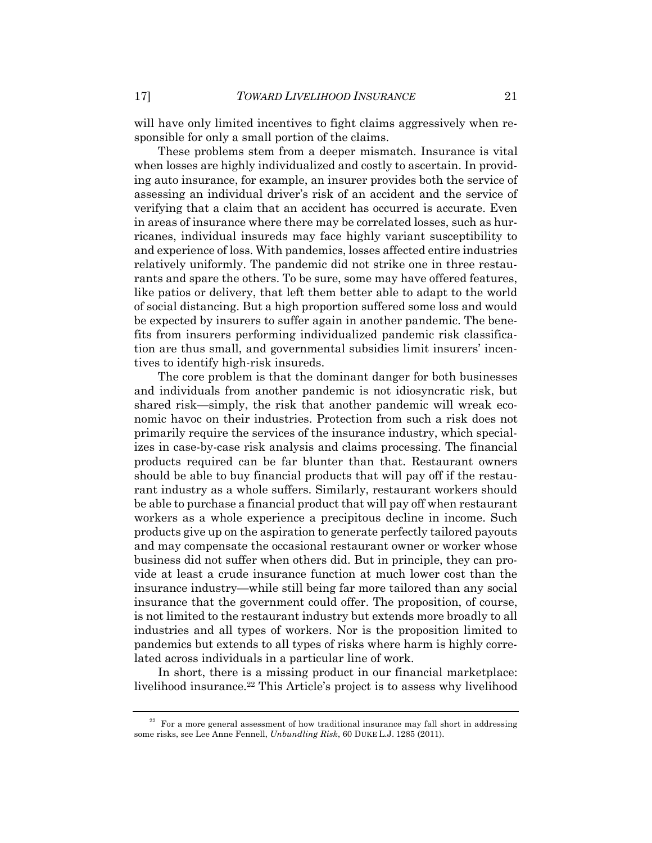will have only limited incentives to fight claims aggressively when responsible for only a small portion of the claims.

These problems stem from a deeper mismatch. Insurance is vital when losses are highly individualized and costly to ascertain. In providing auto insurance, for example, an insurer provides both the service of assessing an individual driver's risk of an accident and the service of verifying that a claim that an accident has occurred is accurate. Even in areas of insurance where there may be correlated losses, such as hurricanes, individual insureds may face highly variant susceptibility to and experience of loss. With pandemics, losses affected entire industries relatively uniformly. The pandemic did not strike one in three restaurants and spare the others. To be sure, some may have offered features, like patios or delivery, that left them better able to adapt to the world of social distancing. But a high proportion suffered some loss and would be expected by insurers to suffer again in another pandemic. The benefits from insurers performing individualized pandemic risk classification are thus small, and governmental subsidies limit insurers' incentives to identify high-risk insureds.

The core problem is that the dominant danger for both businesses and individuals from another pandemic is not idiosyncratic risk, but shared risk—simply, the risk that another pandemic will wreak economic havoc on their industries. Protection from such a risk does not primarily require the services of the insurance industry, which specializes in case-by-case risk analysis and claims processing. The financial products required can be far blunter than that. Restaurant owners should be able to buy financial products that will pay off if the restaurant industry as a whole suffers. Similarly, restaurant workers should be able to purchase a financial product that will pay off when restaurant workers as a whole experience a precipitous decline in income. Such products give up on the aspiration to generate perfectly tailored payouts and may compensate the occasional restaurant owner or worker whose business did not suffer when others did. But in principle, they can provide at least a crude insurance function at much lower cost than the insurance industry—while still being far more tailored than any social insurance that the government could offer. The proposition, of course, is not limited to the restaurant industry but extends more broadly to all industries and all types of workers. Nor is the proposition limited to pandemics but extends to all types of risks where harm is highly correlated across individuals in a particular line of work.

In short, there is a missing product in our financial marketplace: livelihood insurance.22 This Article's project is to assess why livelihood

 $22$  For a more general assessment of how traditional insurance may fall short in addressing some risks, see Lee Anne Fennell, *Unbundling Risk*, 60 DUKE L.J. 1285 (2011).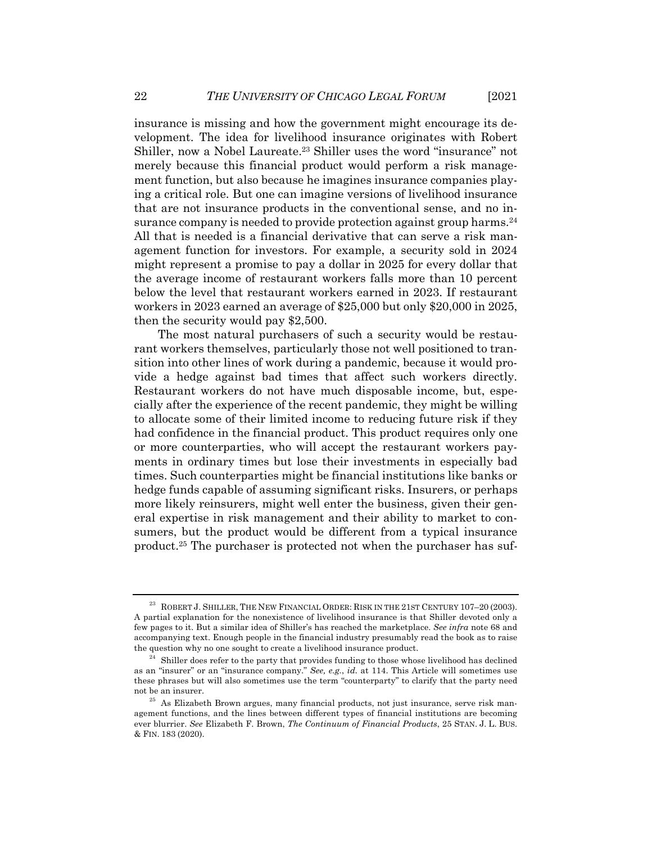insurance is missing and how the government might encourage its development. The idea for livelihood insurance originates with Robert Shiller, now a Nobel Laureate.<sup>23</sup> Shiller uses the word "insurance" not merely because this financial product would perform a risk management function, but also because he imagines insurance companies playing a critical role. But one can imagine versions of livelihood insurance that are not insurance products in the conventional sense, and no insurance company is needed to provide protection against group harms.<sup>24</sup> All that is needed is a financial derivative that can serve a risk management function for investors. For example, a security sold in 2024 might represent a promise to pay a dollar in 2025 for every dollar that the average income of restaurant workers falls more than 10 percent below the level that restaurant workers earned in 2023. If restaurant workers in 2023 earned an average of \$25,000 but only \$20,000 in 2025, then the security would pay \$2,500.

The most natural purchasers of such a security would be restaurant workers themselves, particularly those not well positioned to transition into other lines of work during a pandemic, because it would provide a hedge against bad times that affect such workers directly. Restaurant workers do not have much disposable income, but, especially after the experience of the recent pandemic, they might be willing to allocate some of their limited income to reducing future risk if they had confidence in the financial product. This product requires only one or more counterparties, who will accept the restaurant workers payments in ordinary times but lose their investments in especially bad times. Such counterparties might be financial institutions like banks or hedge funds capable of assuming significant risks. Insurers, or perhaps more likely reinsurers, might well enter the business, given their general expertise in risk management and their ability to market to consumers, but the product would be different from a typical insurance product.25 The purchaser is protected not when the purchaser has suf-

 $^{23}\;$  ROBERT J. SHILLER, THE NEW FINANCIAL ORDER: RISK IN THE  $21$ ST CENTURY 107–20 (2003). A partial explanation for the nonexistence of livelihood insurance is that Shiller devoted only a few pages to it. But a similar idea of Shiller's has reached the marketplace. *See infra* note 68 and accompanying text. Enough people in the financial industry presumably read the book as to raise the question why no one sought to create a livelihood insurance product.

 $24$  Shiller does refer to the party that provides funding to those whose livelihood has declined as an "insurer" or an "insurance company." *See, e.g.*, *id.* at 114. This Article will sometimes use these phrases but will also sometimes use the term "counterparty" to clarify that the party need not be an insurer.

<sup>&</sup>lt;sup>25</sup> As Elizabeth Brown argues, many financial products, not just insurance, serve risk management functions, and the lines between different types of financial institutions are becoming ever blurrier. *See* Elizabeth F. Brown, *The Continuum of Financial Products*, 25 STAN. J. L. BUS. & FIN. 183 (2020).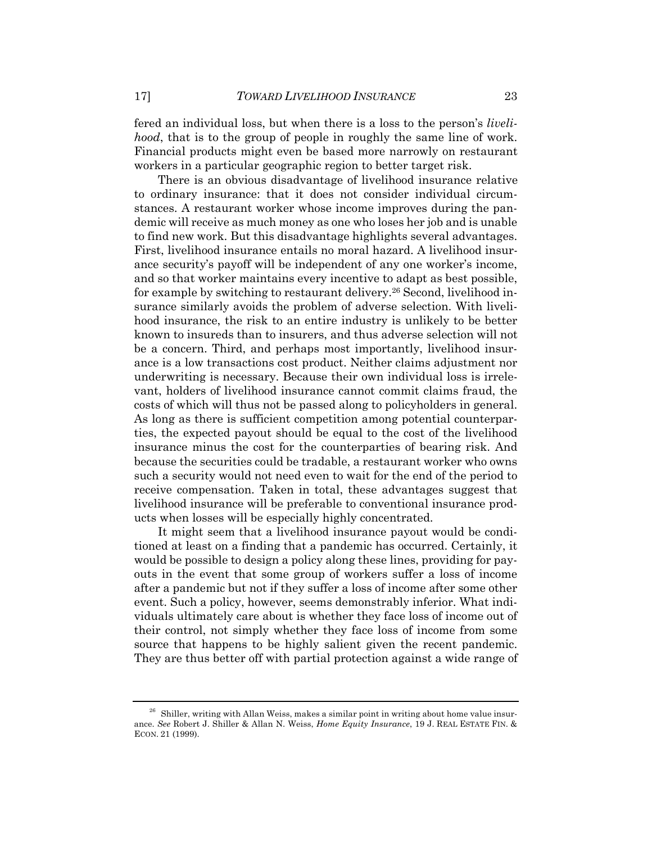fered an individual loss, but when there is a loss to the person's *livelihood*, that is to the group of people in roughly the same line of work. Financial products might even be based more narrowly on restaurant workers in a particular geographic region to better target risk.

There is an obvious disadvantage of livelihood insurance relative to ordinary insurance: that it does not consider individual circumstances. A restaurant worker whose income improves during the pandemic will receive as much money as one who loses her job and is unable to find new work. But this disadvantage highlights several advantages. First, livelihood insurance entails no moral hazard. A livelihood insurance security's payoff will be independent of any one worker's income, and so that worker maintains every incentive to adapt as best possible, for example by switching to restaurant delivery.<sup>26</sup> Second, livelihood insurance similarly avoids the problem of adverse selection. With livelihood insurance, the risk to an entire industry is unlikely to be better known to insureds than to insurers, and thus adverse selection will not be a concern. Third, and perhaps most importantly, livelihood insurance is a low transactions cost product. Neither claims adjustment nor underwriting is necessary. Because their own individual loss is irrelevant, holders of livelihood insurance cannot commit claims fraud, the costs of which will thus not be passed along to policyholders in general. As long as there is sufficient competition among potential counterparties, the expected payout should be equal to the cost of the livelihood insurance minus the cost for the counterparties of bearing risk. And because the securities could be tradable, a restaurant worker who owns such a security would not need even to wait for the end of the period to receive compensation. Taken in total, these advantages suggest that livelihood insurance will be preferable to conventional insurance products when losses will be especially highly concentrated.

It might seem that a livelihood insurance payout would be conditioned at least on a finding that a pandemic has occurred. Certainly, it would be possible to design a policy along these lines, providing for payouts in the event that some group of workers suffer a loss of income after a pandemic but not if they suffer a loss of income after some other event. Such a policy, however, seems demonstrably inferior. What individuals ultimately care about is whether they face loss of income out of their control, not simply whether they face loss of income from some source that happens to be highly salient given the recent pandemic. They are thus better off with partial protection against a wide range of

 $26$  Shiller, writing with Allan Weiss, makes a similar point in writing about home value insurance. *See* Robert J. Shiller & Allan N. Weiss, *Home Equity Insurance*, 19 J. REAL ESTATE FIN. & ECON. 21 (1999).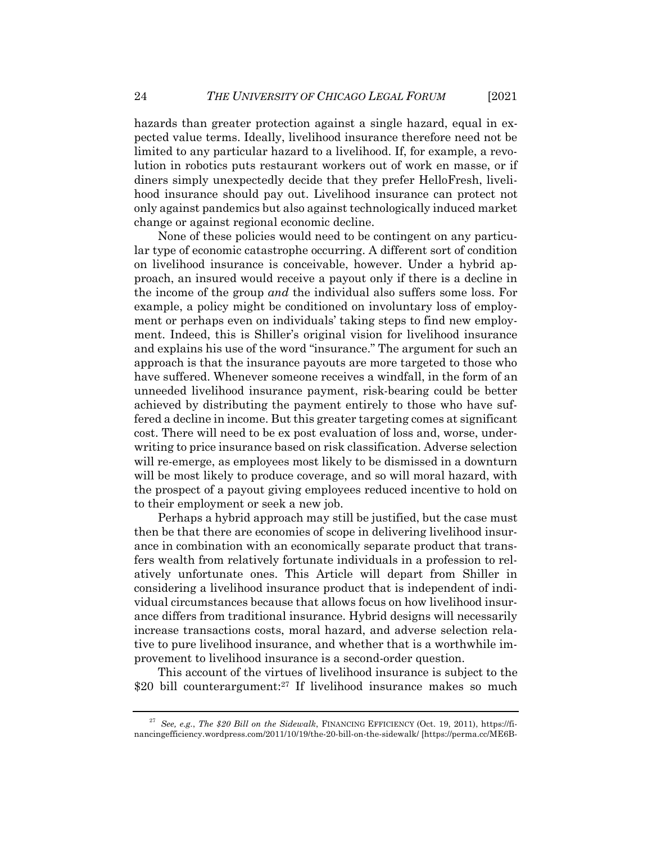hazards than greater protection against a single hazard, equal in expected value terms. Ideally, livelihood insurance therefore need not be limited to any particular hazard to a livelihood. If, for example, a revolution in robotics puts restaurant workers out of work en masse, or if diners simply unexpectedly decide that they prefer HelloFresh, livelihood insurance should pay out. Livelihood insurance can protect not only against pandemics but also against technologically induced market change or against regional economic decline.

None of these policies would need to be contingent on any particular type of economic catastrophe occurring. A different sort of condition on livelihood insurance is conceivable, however. Under a hybrid approach, an insured would receive a payout only if there is a decline in the income of the group *and* the individual also suffers some loss. For example, a policy might be conditioned on involuntary loss of employment or perhaps even on individuals' taking steps to find new employment. Indeed, this is Shiller's original vision for livelihood insurance and explains his use of the word "insurance." The argument for such an approach is that the insurance payouts are more targeted to those who have suffered. Whenever someone receives a windfall, in the form of an unneeded livelihood insurance payment, risk-bearing could be better achieved by distributing the payment entirely to those who have suffered a decline in income. But this greater targeting comes at significant cost. There will need to be ex post evaluation of loss and, worse, underwriting to price insurance based on risk classification. Adverse selection will re-emerge, as employees most likely to be dismissed in a downturn will be most likely to produce coverage, and so will moral hazard, with the prospect of a payout giving employees reduced incentive to hold on to their employment or seek a new job.

Perhaps a hybrid approach may still be justified, but the case must then be that there are economies of scope in delivering livelihood insurance in combination with an economically separate product that transfers wealth from relatively fortunate individuals in a profession to relatively unfortunate ones. This Article will depart from Shiller in considering a livelihood insurance product that is independent of individual circumstances because that allows focus on how livelihood insurance differs from traditional insurance. Hybrid designs will necessarily increase transactions costs, moral hazard, and adverse selection relative to pure livelihood insurance, and whether that is a worthwhile improvement to livelihood insurance is a second-order question.

This account of the virtues of livelihood insurance is subject to the \$20 bill counterargument:<sup>27</sup> If livelihood insurance makes so much

<sup>27</sup> *See, e.g.*, *The \$20 Bill on the Sidewalk*, FINANCING EFFICIENCY (Oct. 19, 2011), https://financingefficiency.wordpress.com/2011/10/19/the-20-bill-on-the-sidewalk/ [https://perma.cc/ME6B-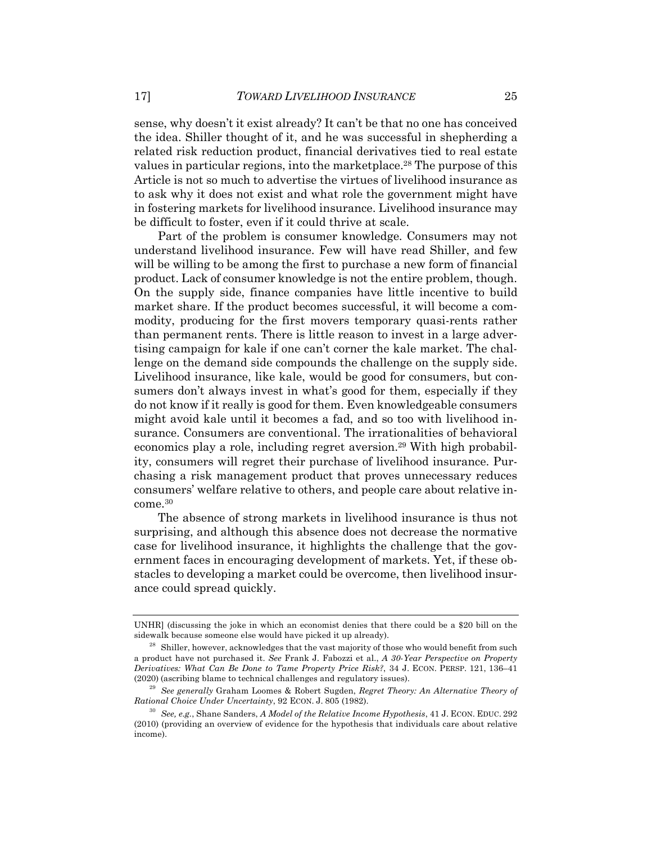sense, why doesn't it exist already? It can't be that no one has conceived the idea. Shiller thought of it, and he was successful in shepherding a related risk reduction product, financial derivatives tied to real estate values in particular regions, into the marketplace.28 The purpose of this Article is not so much to advertise the virtues of livelihood insurance as to ask why it does not exist and what role the government might have in fostering markets for livelihood insurance. Livelihood insurance may be difficult to foster, even if it could thrive at scale.

Part of the problem is consumer knowledge. Consumers may not understand livelihood insurance. Few will have read Shiller, and few will be willing to be among the first to purchase a new form of financial product. Lack of consumer knowledge is not the entire problem, though. On the supply side, finance companies have little incentive to build market share. If the product becomes successful, it will become a commodity, producing for the first movers temporary quasi-rents rather than permanent rents. There is little reason to invest in a large advertising campaign for kale if one can't corner the kale market. The challenge on the demand side compounds the challenge on the supply side. Livelihood insurance, like kale, would be good for consumers, but consumers don't always invest in what's good for them, especially if they do not know if it really is good for them. Even knowledgeable consumers might avoid kale until it becomes a fad, and so too with livelihood insurance. Consumers are conventional. The irrationalities of behavioral economics play a role, including regret aversion.<sup>29</sup> With high probability, consumers will regret their purchase of livelihood insurance. Purchasing a risk management product that proves unnecessary reduces consumers' welfare relative to others, and people care about relative income.30

The absence of strong markets in livelihood insurance is thus not surprising, and although this absence does not decrease the normative case for livelihood insurance, it highlights the challenge that the government faces in encouraging development of markets. Yet, if these obstacles to developing a market could be overcome, then livelihood insurance could spread quickly.

UNHR] (discussing the joke in which an economist denies that there could be a \$20 bill on the sidewalk because someone else would have picked it up already).

 $28$  Shiller, however, acknowledges that the vast majority of those who would benefit from such a product have not purchased it. *See* Frank J. Fabozzi et al., *A 30-Year Perspective on Property Derivatives: What Can Be Done to Tame Property Price Risk?*, 34 J. ECON. PERSP. 121, 136–41 (2020) (ascribing blame to technical challenges and regulatory issues).

<sup>29</sup> *See generally* Graham Loomes & Robert Sugden, *Regret Theory: An Alternative Theory of Rational Choice Under Uncertainty*, 92 ECON. J. 805 (1982).

<sup>30</sup> *See, e.g.*, Shane Sanders, *A Model of the Relative Income Hypothesis*, 41 J. ECON. EDUC. 292 (2010) (providing an overview of evidence for the hypothesis that individuals care about relative income).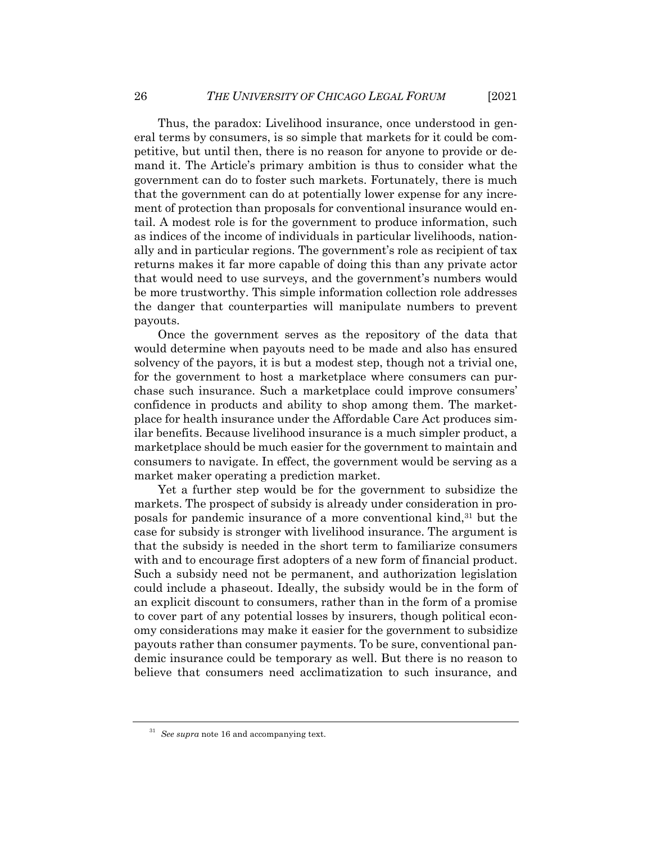Thus, the paradox: Livelihood insurance, once understood in general terms by consumers, is so simple that markets for it could be competitive, but until then, there is no reason for anyone to provide or demand it. The Article's primary ambition is thus to consider what the government can do to foster such markets. Fortunately, there is much that the government can do at potentially lower expense for any increment of protection than proposals for conventional insurance would entail. A modest role is for the government to produce information, such as indices of the income of individuals in particular livelihoods, nationally and in particular regions. The government's role as recipient of tax returns makes it far more capable of doing this than any private actor that would need to use surveys, and the government's numbers would be more trustworthy. This simple information collection role addresses the danger that counterparties will manipulate numbers to prevent payouts.

Once the government serves as the repository of the data that would determine when payouts need to be made and also has ensured solvency of the payors, it is but a modest step, though not a trivial one, for the government to host a marketplace where consumers can purchase such insurance. Such a marketplace could improve consumers' confidence in products and ability to shop among them. The marketplace for health insurance under the Affordable Care Act produces similar benefits. Because livelihood insurance is a much simpler product, a marketplace should be much easier for the government to maintain and consumers to navigate. In effect, the government would be serving as a market maker operating a prediction market.

Yet a further step would be for the government to subsidize the markets. The prospect of subsidy is already under consideration in proposals for pandemic insurance of a more conventional kind,<sup>31</sup> but the case for subsidy is stronger with livelihood insurance. The argument is that the subsidy is needed in the short term to familiarize consumers with and to encourage first adopters of a new form of financial product. Such a subsidy need not be permanent, and authorization legislation could include a phaseout. Ideally, the subsidy would be in the form of an explicit discount to consumers, rather than in the form of a promise to cover part of any potential losses by insurers, though political economy considerations may make it easier for the government to subsidize payouts rather than consumer payments. To be sure, conventional pandemic insurance could be temporary as well. But there is no reason to believe that consumers need acclimatization to such insurance, and

<sup>31</sup> *See supra* note 16 and accompanying text.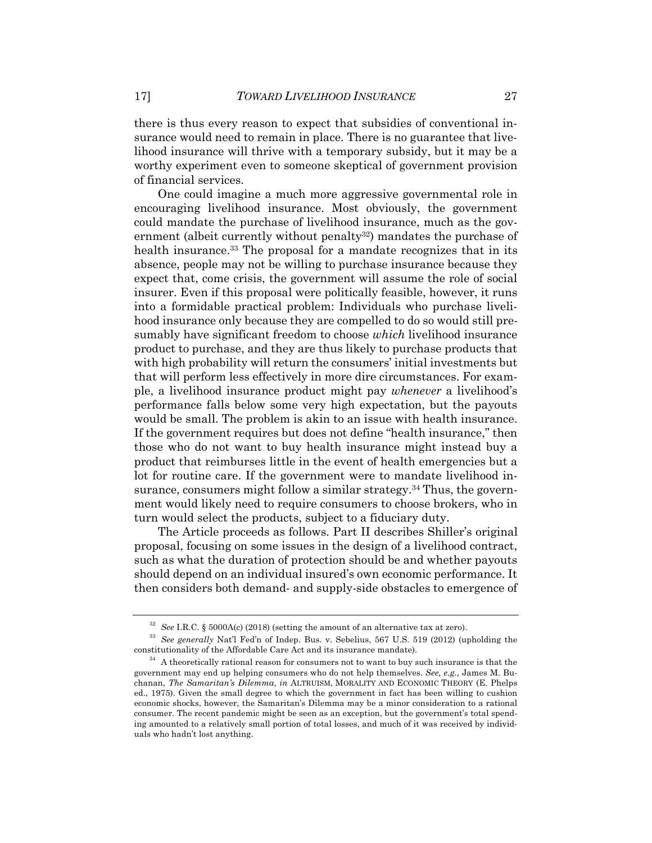there is thus every reason to expect that subsidies of conventional insurance would need to remain in place. There is no guarantee that livelihood insurance will thrive with a temporary subsidy, but it may be a worthy experiment even to someone skeptical of government provision of financial services.

One could imagine a much more aggressive governmental role in encouraging livelihood insurance. Most obviously, the government could mandate the purchase of livelihood insurance, much as the government (albeit currently without penalty<sup>32</sup>) mandates the purchase of health insurance.<sup>33</sup> The proposal for a mandate recognizes that in its absence, people may not be willing to purchase insurance because they expect that, come crisis, the government will assume the role of social insurer. Even if this proposal were politically feasible, however, it runs into a formidable practical problem: Individuals who purchase livelihood insurance only because they are compelled to do so would still presumably have significant freedom to choose *which* livelihood insurance product to purchase, and they are thus likely to purchase products that with high probability will return the consumers' initial investments but that will perform less effectively in more dire circumstances. For example, a livelihood insurance product might pay *whenever* a livelihood's performance falls below some very high expectation, but the payouts would be small. The problem is akin to an issue with health insurance. If the government requires but does not define "health insurance," then those who do not want to buy health insurance might instead buy a product that reimburses little in the event of health emergencies but a lot for routine care. If the government were to mandate livelihood insurance, consumers might follow a similar strategy.34 Thus, the government would likely need to require consumers to choose brokers, who in turn would select the products, subject to a fiduciary duty.

The Article proceeds as follows. Part II describes Shiller's original proposal, focusing on some issues in the design of a livelihood contract, such as what the duration of protection should be and whether payouts should depend on an individual insured's own economic performance. It then considers both demand- and supply-side obstacles to emergence of

<sup>32</sup> *See* I.R.C. § 5000A(c) (2018) (setting the amount of an alternative tax at zero).

<sup>33</sup> *See generally* Nat'l Fed'n of Indep. Bus. v. Sebelius, 567 U.S. 519 (2012) (upholding the constitutionality of the Affordable Care Act and its insurance mandate).

 $34$  A theoretically rational reason for consumers not to want to buy such insurance is that the government may end up helping consumers who do not help themselves. *See, e.g.*, James M. Buchanan, *The Samaritan's Dilemma*, *in* ALTRUISM, MORALITY AND ECONOMIC THEORY (E. Phelps ed., 1975). Given the small degree to which the government in fact has been willing to cushion economic shocks, however, the Samaritan's Dilemma may be a minor consideration to a rational consumer. The recent pandemic might be seen as an exception, but the government's total spending amounted to a relatively small portion of total losses, and much of it was received by individuals who hadn't lost anything.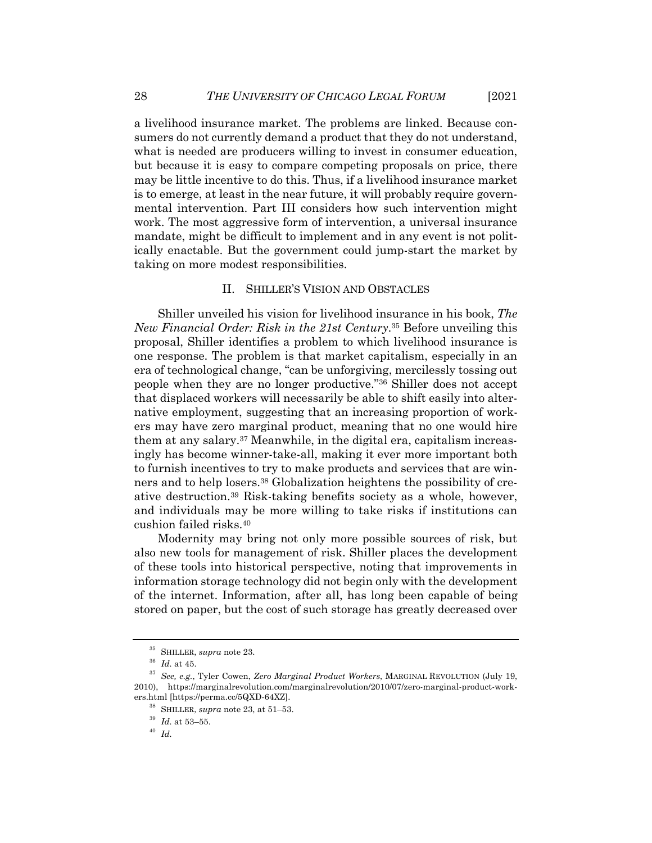a livelihood insurance market. The problems are linked. Because consumers do not currently demand a product that they do not understand, what is needed are producers willing to invest in consumer education, but because it is easy to compare competing proposals on price, there may be little incentive to do this. Thus, if a livelihood insurance market is to emerge, at least in the near future, it will probably require governmental intervention. Part III considers how such intervention might work. The most aggressive form of intervention, a universal insurance mandate, might be difficult to implement and in any event is not politically enactable. But the government could jump-start the market by taking on more modest responsibilities.

#### II. SHILLER'S VISION AND OBSTACLES

Shiller unveiled his vision for livelihood insurance in his book, *The New Financial Order: Risk in the 21st Century*. <sup>35</sup> Before unveiling this proposal, Shiller identifies a problem to which livelihood insurance is one response. The problem is that market capitalism, especially in an era of technological change, "can be unforgiving, mercilessly tossing out people when they are no longer productive."36 Shiller does not accept that displaced workers will necessarily be able to shift easily into alternative employment, suggesting that an increasing proportion of workers may have zero marginal product, meaning that no one would hire them at any salary.37 Meanwhile, in the digital era, capitalism increasingly has become winner-take-all, making it ever more important both to furnish incentives to try to make products and services that are winners and to help losers.38 Globalization heightens the possibility of creative destruction.39 Risk-taking benefits society as a whole, however, and individuals may be more willing to take risks if institutions can cushion failed risks.40

Modernity may bring not only more possible sources of risk, but also new tools for management of risk. Shiller places the development of these tools into historical perspective, noting that improvements in information storage technology did not begin only with the development of the internet. Information, after all, has long been capable of being stored on paper, but the cost of such storage has greatly decreased over

<sup>35</sup> SHILLER, *supra* note 23.

 $^{36}\,$   $Id.\;$  at 45.

<sup>37</sup> *See, e.g.*, Tyler Cowen, *Zero Marginal Product Workers*, MARGINAL REVOLUTION (July 19, 2010), https://marginalrevolution.com/marginalrevolution/2010/07/zero-marginal-product-workers.html [https://perma.cc/5QXD-64XZ].

<sup>38</sup> SHILLER, *supra* note 23, at 51–53.

 $^{39}\,$   $Id.$  at 53–55.

<sup>40</sup> *Id.*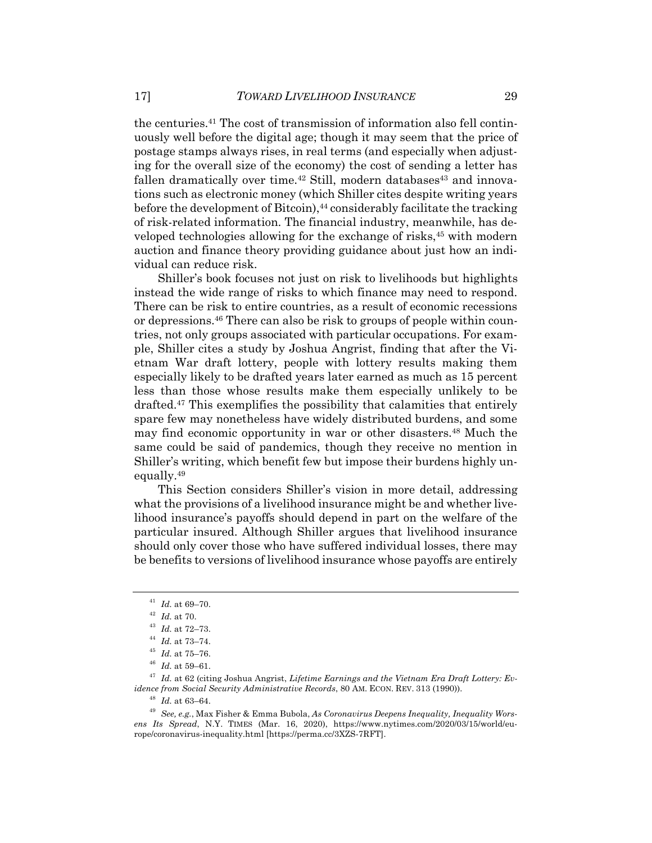the centuries.41 The cost of transmission of information also fell continuously well before the digital age; though it may seem that the price of postage stamps always rises, in real terms (and especially when adjusting for the overall size of the economy) the cost of sending a letter has fallen dramatically over time.<sup>42</sup> Still, modern databases<sup>43</sup> and innovations such as electronic money (which Shiller cites despite writing years before the development of Bitcoin),<sup>44</sup> considerably facilitate the tracking of risk-related information. The financial industry, meanwhile, has developed technologies allowing for the exchange of risks,<sup>45</sup> with modern auction and finance theory providing guidance about just how an individual can reduce risk.

Shiller's book focuses not just on risk to livelihoods but highlights instead the wide range of risks to which finance may need to respond. There can be risk to entire countries, as a result of economic recessions or depressions.46 There can also be risk to groups of people within countries, not only groups associated with particular occupations. For example, Shiller cites a study by Joshua Angrist, finding that after the Vietnam War draft lottery, people with lottery results making them especially likely to be drafted years later earned as much as 15 percent less than those whose results make them especially unlikely to be drafted.47 This exemplifies the possibility that calamities that entirely spare few may nonetheless have widely distributed burdens, and some may find economic opportunity in war or other disasters.48 Much the same could be said of pandemics, though they receive no mention in Shiller's writing, which benefit few but impose their burdens highly unequally.49

This Section considers Shiller's vision in more detail, addressing what the provisions of a livelihood insurance might be and whether livelihood insurance's payoffs should depend in part on the welfare of the particular insured. Although Shiller argues that livelihood insurance should only cover those who have suffered individual losses, there may be benefits to versions of livelihood insurance whose payoffs are entirely

 $^{41}\,$   $Id.\,$  at 69–70.

<sup>42</sup> *Id.* at 70.

 $^{43}\,$   $Id.\;$  at 72–73.

 $^{44}$   $\,$   $\!d.$  at 73–74.

 $^{45}\,$   $Id.\;$  at 75–76.

<sup>46</sup> *Id.* at 59–61.

<sup>47</sup> *Id.* at 62 (citing Joshua Angrist, *Lifetime Earnings and the Vietnam Era Draft Lottery: Evidence from Social Security Administrative Records*, 80 AM. ECON. REV. 313 (1990)).

<sup>48</sup> *Id.* at 63–64.

<sup>49</sup> *See, e.g.*, Max Fisher & Emma Bubola, *As Coronavirus Deepens Inequality, Inequality Worsens Its Spread*, N.Y. TIMES (Mar. 16, 2020), https://www.nytimes.com/2020/03/15/world/europe/coronavirus-inequality.html [https://perma.cc/3XZS-7RFT].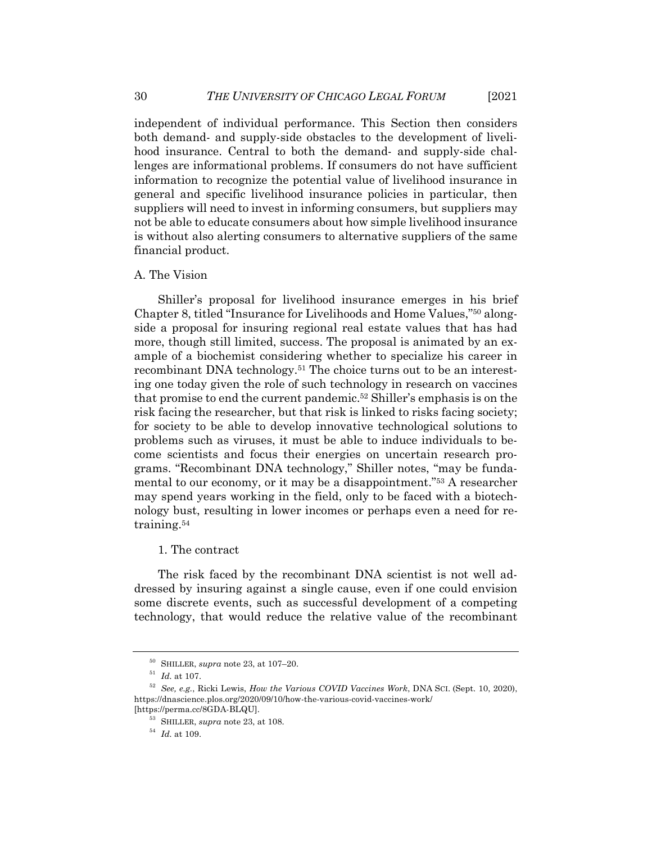independent of individual performance. This Section then considers both demand- and supply-side obstacles to the development of livelihood insurance. Central to both the demand- and supply-side challenges are informational problems. If consumers do not have sufficient information to recognize the potential value of livelihood insurance in general and specific livelihood insurance policies in particular, then suppliers will need to invest in informing consumers, but suppliers may not be able to educate consumers about how simple livelihood insurance is without also alerting consumers to alternative suppliers of the same financial product.

### A. The Vision

Shiller's proposal for livelihood insurance emerges in his brief Chapter 8, titled "Insurance for Livelihoods and Home Values,"50 alongside a proposal for insuring regional real estate values that has had more, though still limited, success. The proposal is animated by an example of a biochemist considering whether to specialize his career in recombinant DNA technology.<sup>51</sup> The choice turns out to be an interesting one today given the role of such technology in research on vaccines that promise to end the current pandemic.52 Shiller's emphasis is on the risk facing the researcher, but that risk is linked to risks facing society; for society to be able to develop innovative technological solutions to problems such as viruses, it must be able to induce individuals to become scientists and focus their energies on uncertain research programs. "Recombinant DNA technology," Shiller notes, "may be fundamental to our economy, or it may be a disappointment."53 A researcher may spend years working in the field, only to be faced with a biotechnology bust, resulting in lower incomes or perhaps even a need for retraining.54

# 1. The contract

The risk faced by the recombinant DNA scientist is not well addressed by insuring against a single cause, even if one could envision some discrete events, such as successful development of a competing technology, that would reduce the relative value of the recombinant

<sup>54</sup> *Id.* at 109.

<sup>50</sup> SHILLER, *supra* note 23, at 107–20.

 $^{51}\,$   $Id.$  at 107.

<sup>52</sup> *See, e.g.*, Ricki Lewis, *How the Various COVID Vaccines Work*, DNA SCI. (Sept. 10, 2020), https://dnascience.plos.org/2020/09/10/how-the-various-covid-vaccines-work/ [https://perma.cc/8GDA-BLQU].

<sup>53</sup> SHILLER, *supra* note 23, at 108.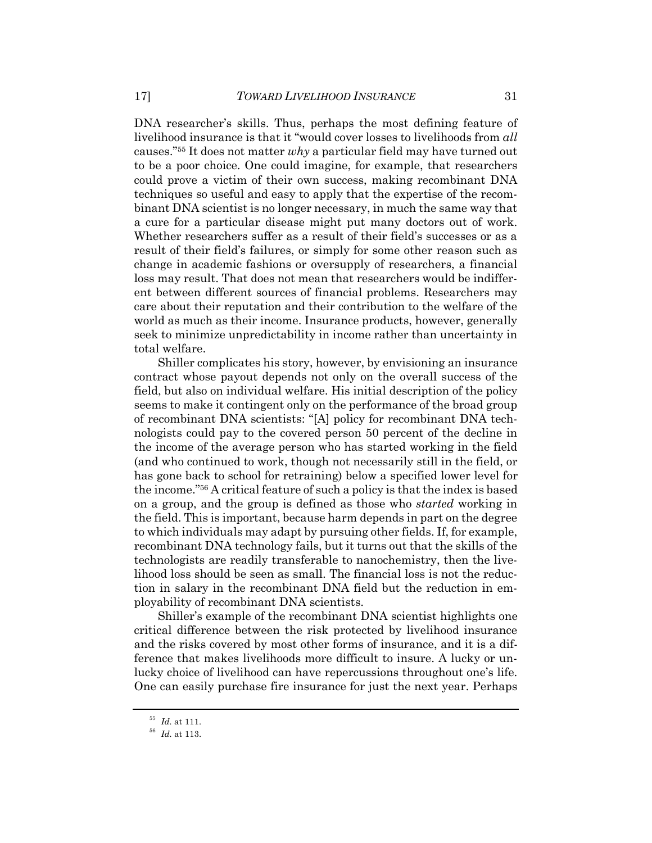DNA researcher's skills. Thus, perhaps the most defining feature of livelihood insurance is that it "would cover losses to livelihoods from *all* causes."55 It does not matter *why* a particular field may have turned out to be a poor choice. One could imagine, for example, that researchers could prove a victim of their own success, making recombinant DNA techniques so useful and easy to apply that the expertise of the recombinant DNA scientist is no longer necessary, in much the same way that a cure for a particular disease might put many doctors out of work. Whether researchers suffer as a result of their field's successes or as a result of their field's failures, or simply for some other reason such as change in academic fashions or oversupply of researchers, a financial loss may result. That does not mean that researchers would be indifferent between different sources of financial problems. Researchers may care about their reputation and their contribution to the welfare of the world as much as their income. Insurance products, however, generally seek to minimize unpredictability in income rather than uncertainty in total welfare.

Shiller complicates his story, however, by envisioning an insurance contract whose payout depends not only on the overall success of the field, but also on individual welfare. His initial description of the policy seems to make it contingent only on the performance of the broad group of recombinant DNA scientists: "[A] policy for recombinant DNA technologists could pay to the covered person 50 percent of the decline in the income of the average person who has started working in the field (and who continued to work, though not necessarily still in the field, or has gone back to school for retraining) below a specified lower level for the income."56 A critical feature of such a policy is that the index is based on a group, and the group is defined as those who *started* working in the field. This is important, because harm depends in part on the degree to which individuals may adapt by pursuing other fields. If, for example, recombinant DNA technology fails, but it turns out that the skills of the technologists are readily transferable to nanochemistry, then the livelihood loss should be seen as small. The financial loss is not the reduction in salary in the recombinant DNA field but the reduction in employability of recombinant DNA scientists.

Shiller's example of the recombinant DNA scientist highlights one critical difference between the risk protected by livelihood insurance and the risks covered by most other forms of insurance, and it is a difference that makes livelihoods more difficult to insure. A lucky or unlucky choice of livelihood can have repercussions throughout one's life. One can easily purchase fire insurance for just the next year. Perhaps

 $\,$   $55$   $\,$   $Id.$  at 111.

<sup>56</sup> *Id.* at 113.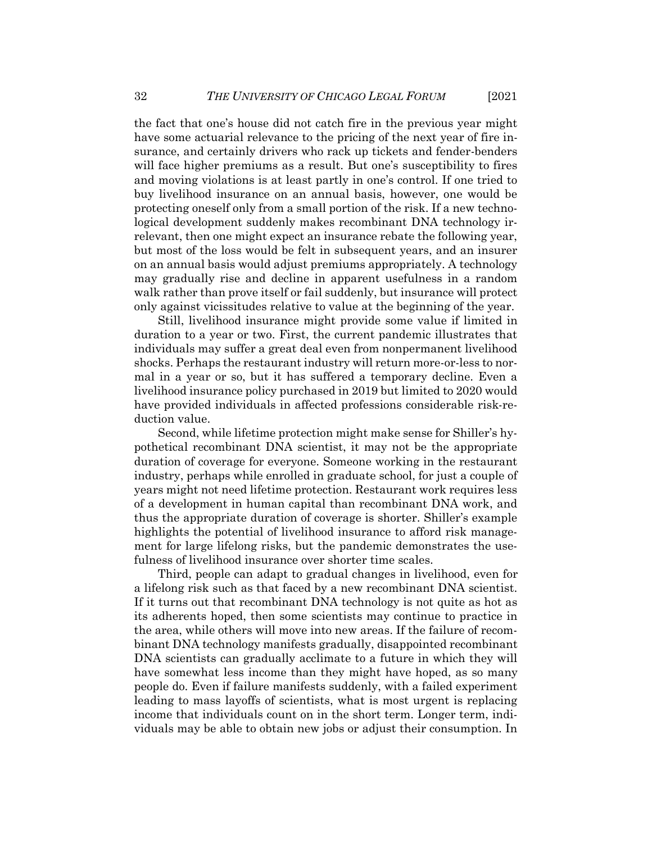the fact that one's house did not catch fire in the previous year might have some actuarial relevance to the pricing of the next year of fire insurance, and certainly drivers who rack up tickets and fender-benders will face higher premiums as a result. But one's susceptibility to fires and moving violations is at least partly in one's control. If one tried to buy livelihood insurance on an annual basis, however, one would be protecting oneself only from a small portion of the risk. If a new technological development suddenly makes recombinant DNA technology irrelevant, then one might expect an insurance rebate the following year, but most of the loss would be felt in subsequent years, and an insurer on an annual basis would adjust premiums appropriately. A technology may gradually rise and decline in apparent usefulness in a random walk rather than prove itself or fail suddenly, but insurance will protect only against vicissitudes relative to value at the beginning of the year.

Still, livelihood insurance might provide some value if limited in duration to a year or two. First, the current pandemic illustrates that individuals may suffer a great deal even from nonpermanent livelihood shocks. Perhaps the restaurant industry will return more-or-less to normal in a year or so, but it has suffered a temporary decline. Even a livelihood insurance policy purchased in 2019 but limited to 2020 would have provided individuals in affected professions considerable risk-reduction value.

Second, while lifetime protection might make sense for Shiller's hypothetical recombinant DNA scientist, it may not be the appropriate duration of coverage for everyone. Someone working in the restaurant industry, perhaps while enrolled in graduate school, for just a couple of years might not need lifetime protection. Restaurant work requires less of a development in human capital than recombinant DNA work, and thus the appropriate duration of coverage is shorter. Shiller's example highlights the potential of livelihood insurance to afford risk management for large lifelong risks, but the pandemic demonstrates the usefulness of livelihood insurance over shorter time scales.

Third, people can adapt to gradual changes in livelihood, even for a lifelong risk such as that faced by a new recombinant DNA scientist. If it turns out that recombinant DNA technology is not quite as hot as its adherents hoped, then some scientists may continue to practice in the area, while others will move into new areas. If the failure of recombinant DNA technology manifests gradually, disappointed recombinant DNA scientists can gradually acclimate to a future in which they will have somewhat less income than they might have hoped, as so many people do. Even if failure manifests suddenly, with a failed experiment leading to mass layoffs of scientists, what is most urgent is replacing income that individuals count on in the short term. Longer term, individuals may be able to obtain new jobs or adjust their consumption. In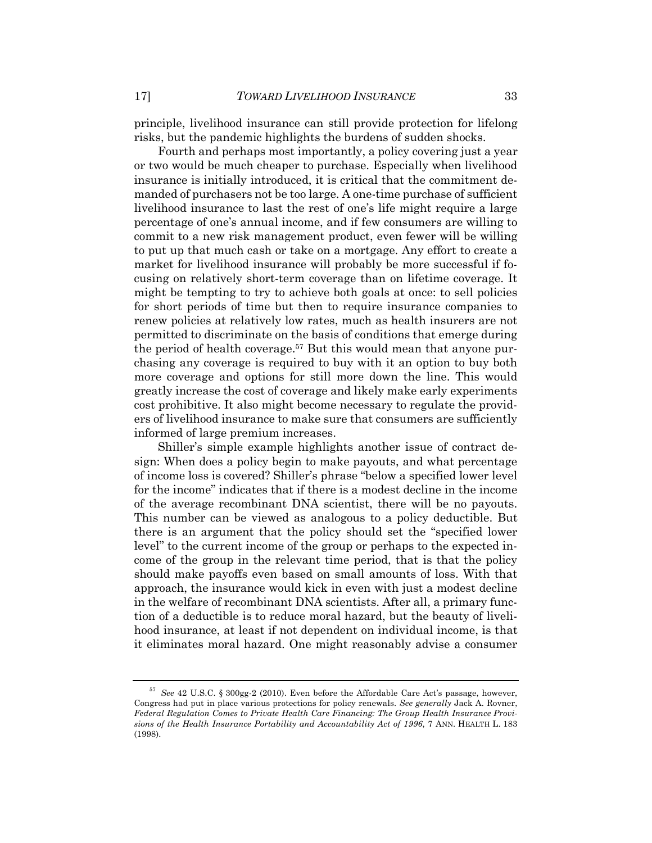principle, livelihood insurance can still provide protection for lifelong risks, but the pandemic highlights the burdens of sudden shocks.

Fourth and perhaps most importantly, a policy covering just a year or two would be much cheaper to purchase. Especially when livelihood insurance is initially introduced, it is critical that the commitment demanded of purchasers not be too large. A one-time purchase of sufficient livelihood insurance to last the rest of one's life might require a large percentage of one's annual income, and if few consumers are willing to commit to a new risk management product, even fewer will be willing to put up that much cash or take on a mortgage. Any effort to create a market for livelihood insurance will probably be more successful if focusing on relatively short-term coverage than on lifetime coverage. It might be tempting to try to achieve both goals at once: to sell policies for short periods of time but then to require insurance companies to renew policies at relatively low rates, much as health insurers are not permitted to discriminate on the basis of conditions that emerge during the period of health coverage.<sup>57</sup> But this would mean that anyone purchasing any coverage is required to buy with it an option to buy both more coverage and options for still more down the line. This would greatly increase the cost of coverage and likely make early experiments cost prohibitive. It also might become necessary to regulate the providers of livelihood insurance to make sure that consumers are sufficiently informed of large premium increases.

Shiller's simple example highlights another issue of contract design: When does a policy begin to make payouts, and what percentage of income loss is covered? Shiller's phrase "below a specified lower level for the income" indicates that if there is a modest decline in the income of the average recombinant DNA scientist, there will be no payouts. This number can be viewed as analogous to a policy deductible. But there is an argument that the policy should set the "specified lower level" to the current income of the group or perhaps to the expected income of the group in the relevant time period, that is that the policy should make payoffs even based on small amounts of loss. With that approach, the insurance would kick in even with just a modest decline in the welfare of recombinant DNA scientists. After all, a primary function of a deductible is to reduce moral hazard, but the beauty of livelihood insurance, at least if not dependent on individual income, is that it eliminates moral hazard. One might reasonably advise a consumer

<sup>57</sup> *See* 42 U.S.C. § 300gg-2 (2010). Even before the Affordable Care Act's passage, however, Congress had put in place various protections for policy renewals. *See generally* Jack A. Rovner, *Federal Regulation Comes to Private Health Care Financing: The Group Health Insurance Provisions of the Health Insurance Portability and Accountability Act of 1996*, 7 ANN. HEALTH L. 183 (1998).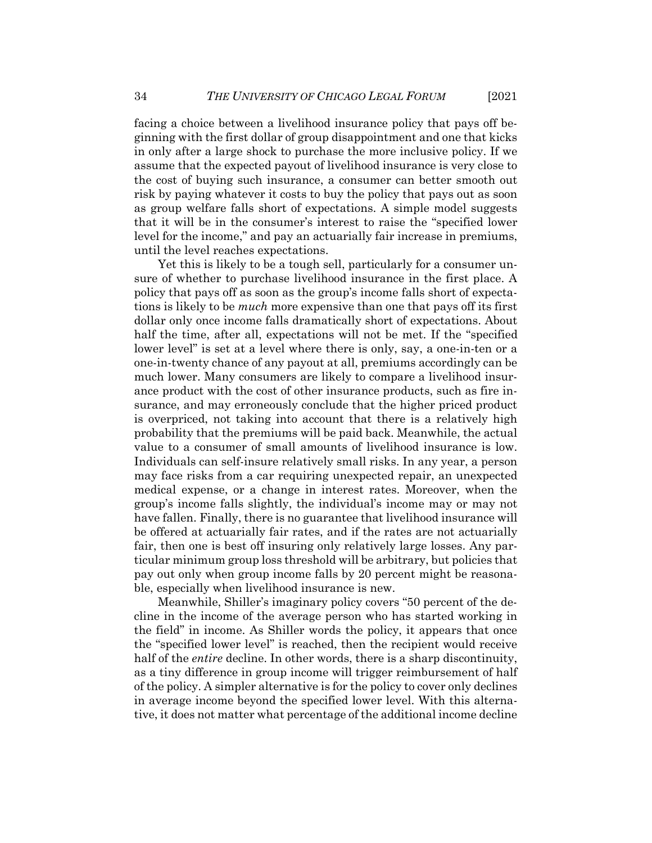facing a choice between a livelihood insurance policy that pays off beginning with the first dollar of group disappointment and one that kicks in only after a large shock to purchase the more inclusive policy. If we assume that the expected payout of livelihood insurance is very close to the cost of buying such insurance, a consumer can better smooth out risk by paying whatever it costs to buy the policy that pays out as soon as group welfare falls short of expectations. A simple model suggests that it will be in the consumer's interest to raise the "specified lower level for the income," and pay an actuarially fair increase in premiums, until the level reaches expectations.

Yet this is likely to be a tough sell, particularly for a consumer unsure of whether to purchase livelihood insurance in the first place. A policy that pays off as soon as the group's income falls short of expectations is likely to be *much* more expensive than one that pays off its first dollar only once income falls dramatically short of expectations. About half the time, after all, expectations will not be met. If the "specified lower level" is set at a level where there is only, say, a one-in-ten or a one-in-twenty chance of any payout at all, premiums accordingly can be much lower. Many consumers are likely to compare a livelihood insurance product with the cost of other insurance products, such as fire insurance, and may erroneously conclude that the higher priced product is overpriced, not taking into account that there is a relatively high probability that the premiums will be paid back. Meanwhile, the actual value to a consumer of small amounts of livelihood insurance is low. Individuals can self-insure relatively small risks. In any year, a person may face risks from a car requiring unexpected repair, an unexpected medical expense, or a change in interest rates. Moreover, when the group's income falls slightly, the individual's income may or may not have fallen. Finally, there is no guarantee that livelihood insurance will be offered at actuarially fair rates, and if the rates are not actuarially fair, then one is best off insuring only relatively large losses. Any particular minimum group loss threshold will be arbitrary, but policies that pay out only when group income falls by 20 percent might be reasonable, especially when livelihood insurance is new.

Meanwhile, Shiller's imaginary policy covers "50 percent of the decline in the income of the average person who has started working in the field" in income. As Shiller words the policy, it appears that once the "specified lower level" is reached, then the recipient would receive half of the *entire* decline. In other words, there is a sharp discontinuity, as a tiny difference in group income will trigger reimbursement of half of the policy. A simpler alternative is for the policy to cover only declines in average income beyond the specified lower level. With this alternative, it does not matter what percentage of the additional income decline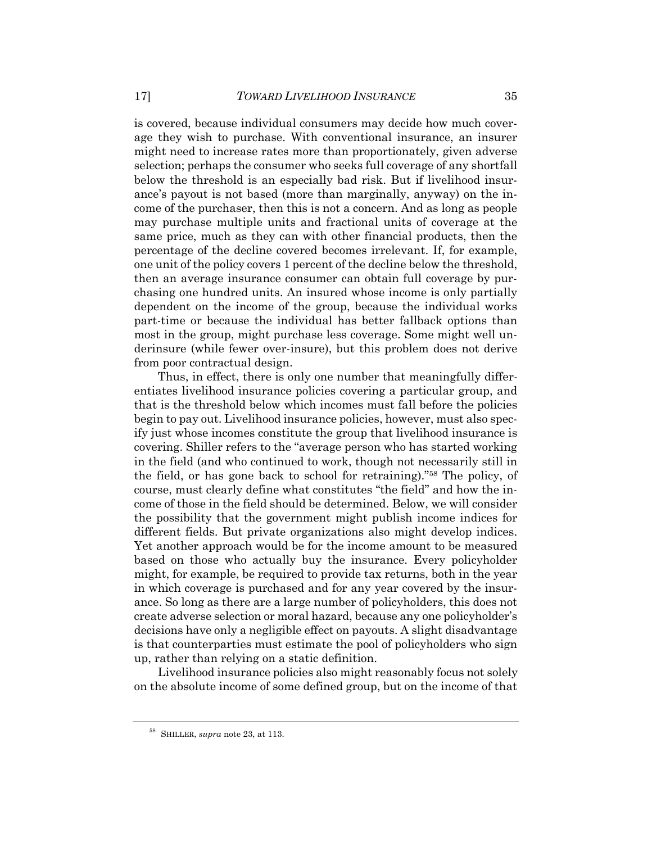is covered, because individual consumers may decide how much coverage they wish to purchase. With conventional insurance, an insurer might need to increase rates more than proportionately, given adverse selection; perhaps the consumer who seeks full coverage of any shortfall below the threshold is an especially bad risk. But if livelihood insurance's payout is not based (more than marginally, anyway) on the income of the purchaser, then this is not a concern. And as long as people may purchase multiple units and fractional units of coverage at the same price, much as they can with other financial products, then the percentage of the decline covered becomes irrelevant. If, for example, one unit of the policy covers 1 percent of the decline below the threshold, then an average insurance consumer can obtain full coverage by purchasing one hundred units. An insured whose income is only partially dependent on the income of the group, because the individual works part-time or because the individual has better fallback options than most in the group, might purchase less coverage. Some might well underinsure (while fewer over-insure), but this problem does not derive from poor contractual design.

Thus, in effect, there is only one number that meaningfully differentiates livelihood insurance policies covering a particular group, and that is the threshold below which incomes must fall before the policies begin to pay out. Livelihood insurance policies, however, must also specify just whose incomes constitute the group that livelihood insurance is covering. Shiller refers to the "average person who has started working in the field (and who continued to work, though not necessarily still in the field, or has gone back to school for retraining)."58 The policy, of course, must clearly define what constitutes "the field" and how the income of those in the field should be determined. Below, we will consider the possibility that the government might publish income indices for different fields. But private organizations also might develop indices. Yet another approach would be for the income amount to be measured based on those who actually buy the insurance. Every policyholder might, for example, be required to provide tax returns, both in the year in which coverage is purchased and for any year covered by the insurance. So long as there are a large number of policyholders, this does not create adverse selection or moral hazard, because any one policyholder's decisions have only a negligible effect on payouts. A slight disadvantage is that counterparties must estimate the pool of policyholders who sign up, rather than relying on a static definition.

Livelihood insurance policies also might reasonably focus not solely on the absolute income of some defined group, but on the income of that

<sup>58</sup> SHILLER, *supra* note 23, at 113.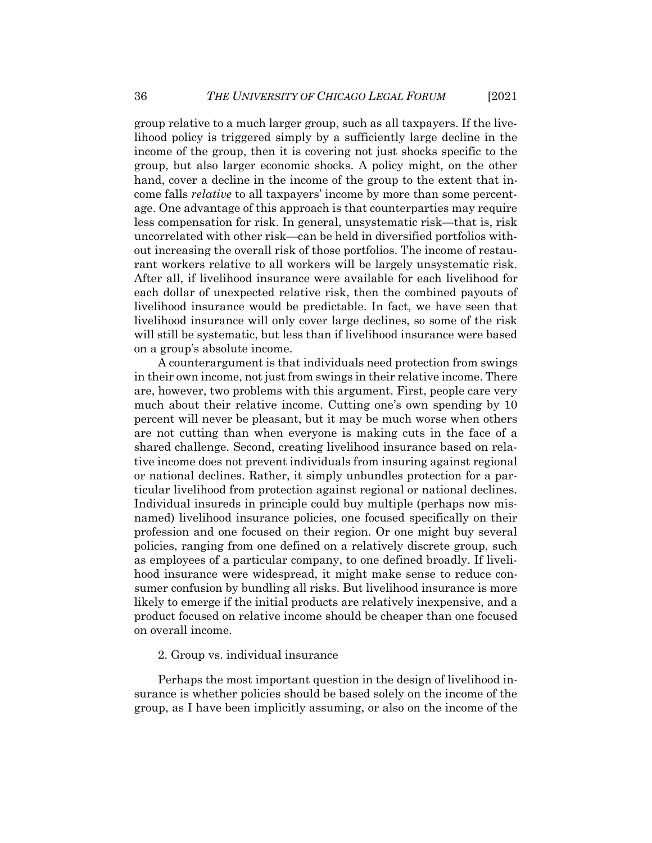group relative to a much larger group, such as all taxpayers. If the livelihood policy is triggered simply by a sufficiently large decline in the income of the group, then it is covering not just shocks specific to the group, but also larger economic shocks. A policy might, on the other hand, cover a decline in the income of the group to the extent that income falls *relative* to all taxpayers' income by more than some percentage. One advantage of this approach is that counterparties may require less compensation for risk. In general, unsystematic risk—that is, risk uncorrelated with other risk—can be held in diversified portfolios without increasing the overall risk of those portfolios. The income of restaurant workers relative to all workers will be largely unsystematic risk. After all, if livelihood insurance were available for each livelihood for each dollar of unexpected relative risk, then the combined payouts of livelihood insurance would be predictable. In fact, we have seen that livelihood insurance will only cover large declines, so some of the risk will still be systematic, but less than if livelihood insurance were based on a group's absolute income.

A counterargument is that individuals need protection from swings in their own income, not just from swings in their relative income. There are, however, two problems with this argument. First, people care very much about their relative income. Cutting one's own spending by 10 percent will never be pleasant, but it may be much worse when others are not cutting than when everyone is making cuts in the face of a shared challenge. Second, creating livelihood insurance based on relative income does not prevent individuals from insuring against regional or national declines. Rather, it simply unbundles protection for a particular livelihood from protection against regional or national declines. Individual insureds in principle could buy multiple (perhaps now misnamed) livelihood insurance policies, one focused specifically on their profession and one focused on their region. Or one might buy several policies, ranging from one defined on a relatively discrete group, such as employees of a particular company, to one defined broadly. If livelihood insurance were widespread, it might make sense to reduce consumer confusion by bundling all risks. But livelihood insurance is more likely to emerge if the initial products are relatively inexpensive, and a product focused on relative income should be cheaper than one focused on overall income.

# 2. Group vs. individual insurance

Perhaps the most important question in the design of livelihood insurance is whether policies should be based solely on the income of the group, as I have been implicitly assuming, or also on the income of the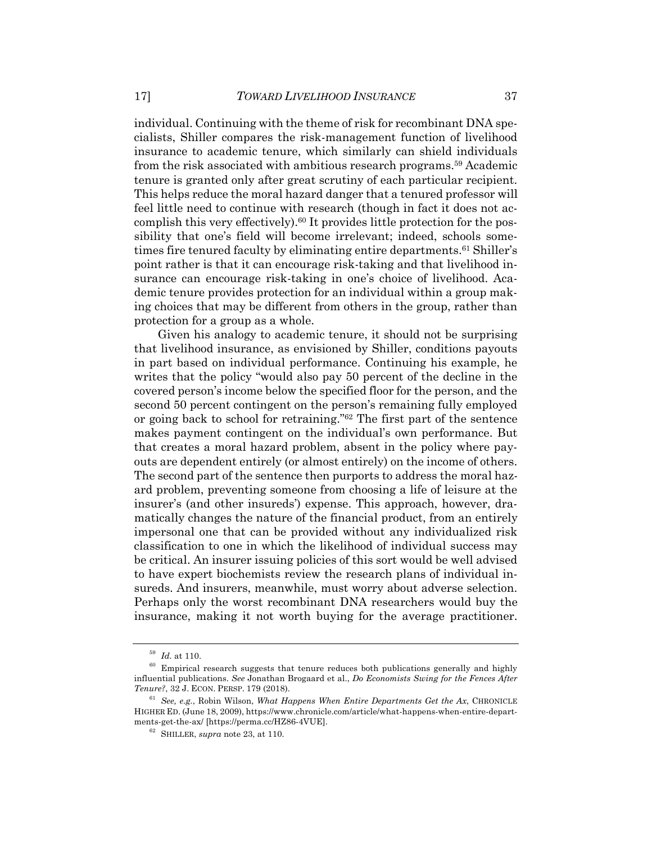individual. Continuing with the theme of risk for recombinant DNA specialists, Shiller compares the risk-management function of livelihood insurance to academic tenure, which similarly can shield individuals from the risk associated with ambitious research programs.59 Academic tenure is granted only after great scrutiny of each particular recipient. This helps reduce the moral hazard danger that a tenured professor will feel little need to continue with research (though in fact it does not accomplish this very effectively).60 It provides little protection for the possibility that one's field will become irrelevant; indeed, schools sometimes fire tenured faculty by eliminating entire departments.<sup>61</sup> Shiller's point rather is that it can encourage risk-taking and that livelihood insurance can encourage risk-taking in one's choice of livelihood. Academic tenure provides protection for an individual within a group making choices that may be different from others in the group, rather than protection for a group as a whole.

Given his analogy to academic tenure, it should not be surprising that livelihood insurance, as envisioned by Shiller, conditions payouts in part based on individual performance. Continuing his example, he writes that the policy "would also pay 50 percent of the decline in the covered person's income below the specified floor for the person, and the second 50 percent contingent on the person's remaining fully employed or going back to school for retraining."62 The first part of the sentence makes payment contingent on the individual's own performance. But that creates a moral hazard problem, absent in the policy where payouts are dependent entirely (or almost entirely) on the income of others. The second part of the sentence then purports to address the moral hazard problem, preventing someone from choosing a life of leisure at the insurer's (and other insureds') expense. This approach, however, dramatically changes the nature of the financial product, from an entirely impersonal one that can be provided without any individualized risk classification to one in which the likelihood of individual success may be critical. An insurer issuing policies of this sort would be well advised to have expert biochemists review the research plans of individual insureds. And insurers, meanwhile, must worry about adverse selection. Perhaps only the worst recombinant DNA researchers would buy the insurance, making it not worth buying for the average practitioner.

<sup>59</sup> *Id.* at 110.

 $60$  Empirical research suggests that tenure reduces both publications generally and highly influential publications. *See* Jonathan Brogaard et al., *Do Economists Swing for the Fences After Tenure?*, 32 J. ECON. PERSP. 179 (2018).

<sup>61</sup> *See, e.g.*, Robin Wilson, *What Happens When Entire Departments Get the Ax*, CHRONICLE HIGHER ED. (June 18, 2009), https://www.chronicle.com/article/what-happens-when-entire-departments-get-the-ax/ [https://perma.cc/HZ86-4VUE].

<sup>62</sup> SHILLER, *supra* note 23, at 110.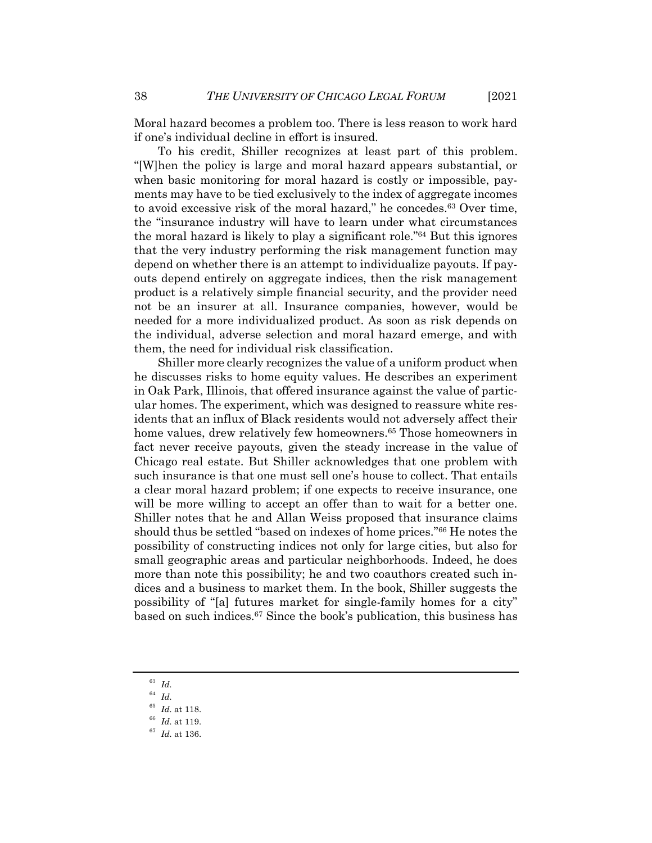Moral hazard becomes a problem too. There is less reason to work hard if one's individual decline in effort is insured.

To his credit, Shiller recognizes at least part of this problem. "[W]hen the policy is large and moral hazard appears substantial, or when basic monitoring for moral hazard is costly or impossible, payments may have to be tied exclusively to the index of aggregate incomes to avoid excessive risk of the moral hazard," he concedes.63 Over time, the "insurance industry will have to learn under what circumstances the moral hazard is likely to play a significant role."64 But this ignores that the very industry performing the risk management function may depend on whether there is an attempt to individualize payouts. If payouts depend entirely on aggregate indices, then the risk management product is a relatively simple financial security, and the provider need not be an insurer at all. Insurance companies, however, would be needed for a more individualized product. As soon as risk depends on the individual, adverse selection and moral hazard emerge, and with them, the need for individual risk classification.

Shiller more clearly recognizes the value of a uniform product when he discusses risks to home equity values. He describes an experiment in Oak Park, Illinois, that offered insurance against the value of particular homes. The experiment, which was designed to reassure white residents that an influx of Black residents would not adversely affect their home values, drew relatively few homeowners.<sup>65</sup> Those homeowners in fact never receive payouts, given the steady increase in the value of Chicago real estate. But Shiller acknowledges that one problem with such insurance is that one must sell one's house to collect. That entails a clear moral hazard problem; if one expects to receive insurance, one will be more willing to accept an offer than to wait for a better one. Shiller notes that he and Allan Weiss proposed that insurance claims should thus be settled "based on indexes of home prices."66 He notes the possibility of constructing indices not only for large cities, but also for small geographic areas and particular neighborhoods. Indeed, he does more than note this possibility; he and two coauthors created such indices and a business to market them. In the book, Shiller suggests the possibility of "[a] futures market for single-family homes for a city" based on such indices.67 Since the book's publication, this business has

<sup>63</sup> *Id.*

<sup>64</sup> *Id.*

<sup>65</sup> *Id.* at 118.

<sup>66</sup> *Id.* at 119.

<sup>67</sup> *Id.* at 136.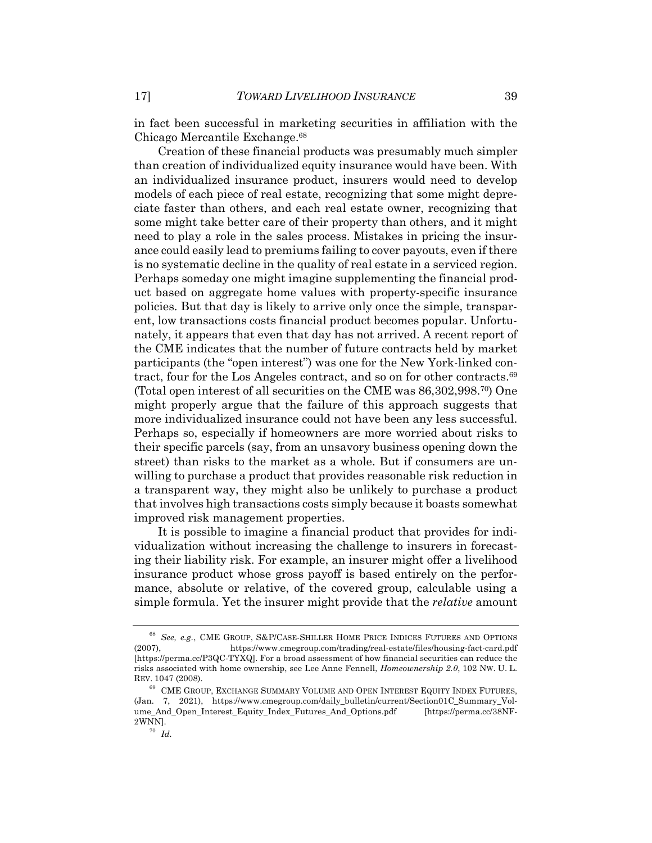in fact been successful in marketing securities in affiliation with the Chicago Mercantile Exchange.68

Creation of these financial products was presumably much simpler than creation of individualized equity insurance would have been. With an individualized insurance product, insurers would need to develop models of each piece of real estate, recognizing that some might depreciate faster than others, and each real estate owner, recognizing that some might take better care of their property than others, and it might need to play a role in the sales process. Mistakes in pricing the insurance could easily lead to premiums failing to cover payouts, even if there is no systematic decline in the quality of real estate in a serviced region. Perhaps someday one might imagine supplementing the financial product based on aggregate home values with property-specific insurance policies. But that day is likely to arrive only once the simple, transparent, low transactions costs financial product becomes popular. Unfortunately, it appears that even that day has not arrived. A recent report of the CME indicates that the number of future contracts held by market participants (the "open interest") was one for the New York-linked contract, four for the Los Angeles contract, and so on for other contracts.69 (Total open interest of all securities on the CME was 86,302,998.70) One might properly argue that the failure of this approach suggests that more individualized insurance could not have been any less successful. Perhaps so, especially if homeowners are more worried about risks to their specific parcels (say, from an unsavory business opening down the street) than risks to the market as a whole. But if consumers are unwilling to purchase a product that provides reasonable risk reduction in a transparent way, they might also be unlikely to purchase a product that involves high transactions costs simply because it boasts somewhat improved risk management properties.

It is possible to imagine a financial product that provides for individualization without increasing the challenge to insurers in forecasting their liability risk. For example, an insurer might offer a livelihood insurance product whose gross payoff is based entirely on the performance, absolute or relative, of the covered group, calculable using a simple formula. Yet the insurer might provide that the *relative* amount

<sup>68</sup> *See, e.g.*, CME GROUP, S&P/CASE-SHILLER HOME PRICE INDICES FUTURES AND OPTIONS (2007), https://www.cmegroup.com/trading/real-estate/files/housing-fact-card.pdf [https://perma.cc/P3QC-TYXQ]. For a broad assessment of how financial securities can reduce the risks associated with home ownership, see Lee Anne Fennell, *Homeownership 2.0*, 102 NW. U. L. REV. 1047 (2008).

 $^{69}\,$  CME GROUP, EXCHANGE SUMMARY VOLUME AND OPEN INTEREST EQUITY INDEX FUTURES, (Jan. 7, 2021), https://www.cmegroup.com/daily\_bulletin/current/Section01C\_Summary\_Volume\_And\_Open\_Interest\_Equity\_Index\_Futures\_And\_Options.pdf [https://perma.cc/38NF-2WNN].

<sup>70</sup> *Id.*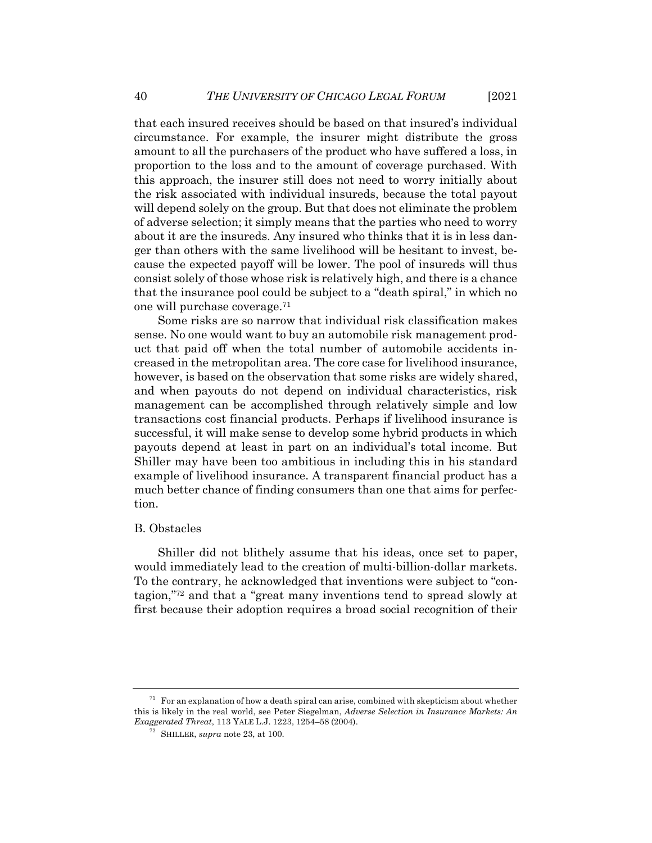that each insured receives should be based on that insured's individual circumstance. For example, the insurer might distribute the gross amount to all the purchasers of the product who have suffered a loss, in proportion to the loss and to the amount of coverage purchased. With this approach, the insurer still does not need to worry initially about the risk associated with individual insureds, because the total payout will depend solely on the group. But that does not eliminate the problem of adverse selection; it simply means that the parties who need to worry about it are the insureds. Any insured who thinks that it is in less danger than others with the same livelihood will be hesitant to invest, because the expected payoff will be lower. The pool of insureds will thus consist solely of those whose risk is relatively high, and there is a chance that the insurance pool could be subject to a "death spiral," in which no one will purchase coverage.71

Some risks are so narrow that individual risk classification makes sense. No one would want to buy an automobile risk management product that paid off when the total number of automobile accidents increased in the metropolitan area. The core case for livelihood insurance, however, is based on the observation that some risks are widely shared, and when payouts do not depend on individual characteristics, risk management can be accomplished through relatively simple and low transactions cost financial products. Perhaps if livelihood insurance is successful, it will make sense to develop some hybrid products in which payouts depend at least in part on an individual's total income. But Shiller may have been too ambitious in including this in his standard example of livelihood insurance. A transparent financial product has a much better chance of finding consumers than one that aims for perfection.

#### B. Obstacles

Shiller did not blithely assume that his ideas, once set to paper, would immediately lead to the creation of multi-billion-dollar markets. To the contrary, he acknowledged that inventions were subject to "contagion,"72 and that a "great many inventions tend to spread slowly at first because their adoption requires a broad social recognition of their

 $71$  For an explanation of how a death spiral can arise, combined with skepticism about whether this is likely in the real world, see Peter Siegelman, *Adverse Selection in Insurance Markets: An Exaggerated Threat*, 113 YALE L.J. 1223, 1254–58 (2004).

<sup>72</sup> SHILLER, *supra* note 23, at 100.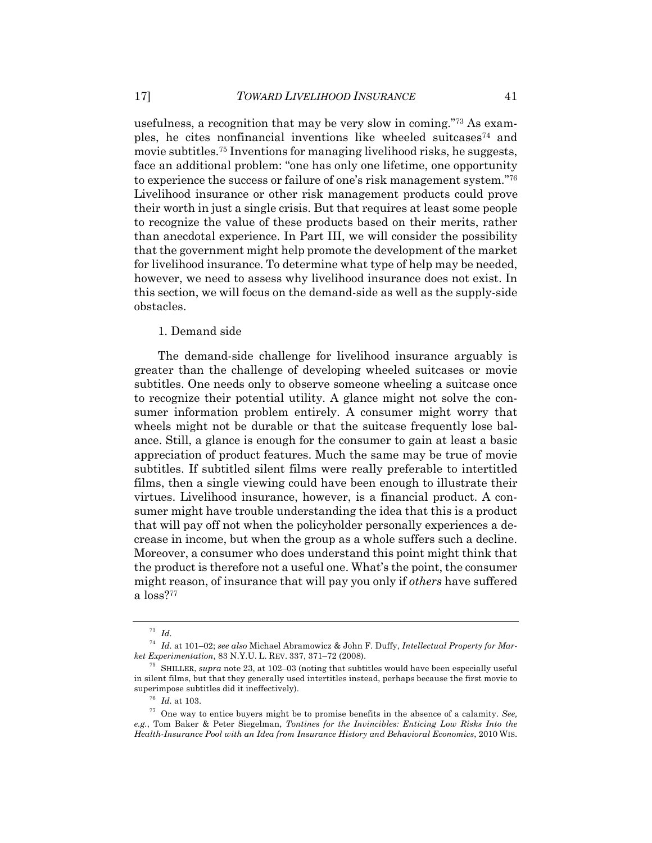usefulness, a recognition that may be very slow in coming."73 As examples, he cites nonfinancial inventions like wheeled suitcases<sup>74</sup> and movie subtitles.75 Inventions for managing livelihood risks, he suggests, face an additional problem: "one has only one lifetime, one opportunity to experience the success or failure of one's risk management system."76 Livelihood insurance or other risk management products could prove their worth in just a single crisis. But that requires at least some people to recognize the value of these products based on their merits, rather than anecdotal experience. In Part III, we will consider the possibility that the government might help promote the development of the market for livelihood insurance. To determine what type of help may be needed, however, we need to assess why livelihood insurance does not exist. In this section, we will focus on the demand-side as well as the supply-side obstacles.

1. Demand side

The demand-side challenge for livelihood insurance arguably is greater than the challenge of developing wheeled suitcases or movie subtitles. One needs only to observe someone wheeling a suitcase once to recognize their potential utility. A glance might not solve the consumer information problem entirely. A consumer might worry that wheels might not be durable or that the suitcase frequently lose balance. Still, a glance is enough for the consumer to gain at least a basic appreciation of product features. Much the same may be true of movie subtitles. If subtitled silent films were really preferable to intertitled films, then a single viewing could have been enough to illustrate their virtues. Livelihood insurance, however, is a financial product. A consumer might have trouble understanding the idea that this is a product that will pay off not when the policyholder personally experiences a decrease in income, but when the group as a whole suffers such a decline. Moreover, a consumer who does understand this point might think that the product is therefore not a useful one. What's the point, the consumer might reason, of insurance that will pay you only if *others* have suffered a loss?77

<sup>73</sup> *Id.*

<sup>74</sup> *Id.* at 101–02; *see also* Michael Abramowicz & John F. Duffy, *Intellectual Property for Market Experimentation*, 83 N.Y.U. L. REV. 337, 371–72 (2008).

<sup>75</sup> SHILLER, *supra* note 23, at 102–03 (noting that subtitles would have been especially useful in silent films, but that they generally used intertitles instead, perhaps because the first movie to superimpose subtitles did it ineffectively).

<sup>76</sup> *Id.* at 103.

<sup>77</sup> One way to entice buyers might be to promise benefits in the absence of a calamity. *See, e.g.*, Tom Baker & Peter Siegelman, *Tontines for the Invincibles: Enticing Low Risks Into the Health-Insurance Pool with an Idea from Insurance History and Behavioral Economics*, 2010 WIS.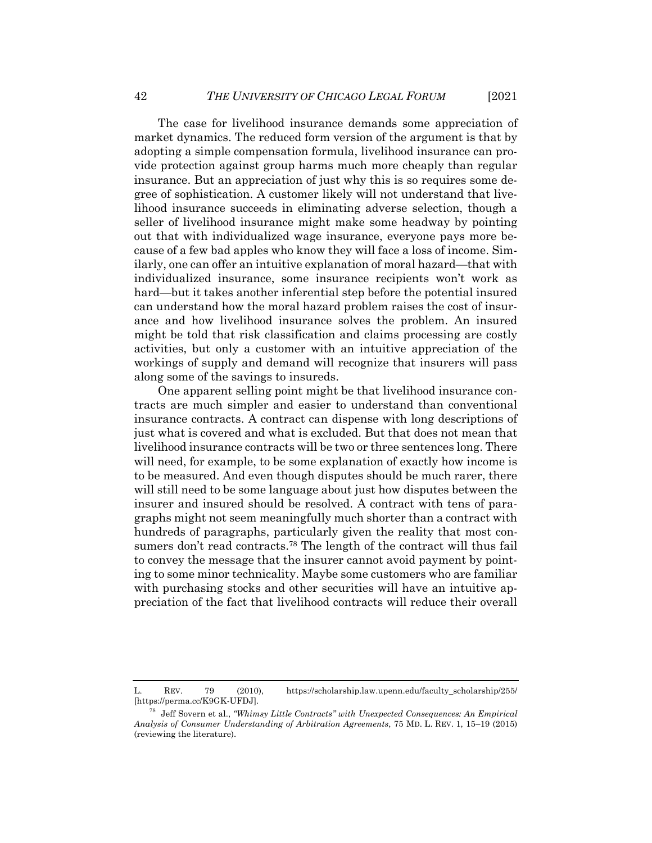The case for livelihood insurance demands some appreciation of market dynamics. The reduced form version of the argument is that by adopting a simple compensation formula, livelihood insurance can provide protection against group harms much more cheaply than regular insurance. But an appreciation of just why this is so requires some degree of sophistication. A customer likely will not understand that livelihood insurance succeeds in eliminating adverse selection, though a seller of livelihood insurance might make some headway by pointing out that with individualized wage insurance, everyone pays more because of a few bad apples who know they will face a loss of income. Similarly, one can offer an intuitive explanation of moral hazard—that with individualized insurance, some insurance recipients won't work as hard—but it takes another inferential step before the potential insured can understand how the moral hazard problem raises the cost of insurance and how livelihood insurance solves the problem. An insured might be told that risk classification and claims processing are costly activities, but only a customer with an intuitive appreciation of the workings of supply and demand will recognize that insurers will pass along some of the savings to insureds.

One apparent selling point might be that livelihood insurance contracts are much simpler and easier to understand than conventional insurance contracts. A contract can dispense with long descriptions of just what is covered and what is excluded. But that does not mean that livelihood insurance contracts will be two or three sentences long. There will need, for example, to be some explanation of exactly how income is to be measured. And even though disputes should be much rarer, there will still need to be some language about just how disputes between the insurer and insured should be resolved. A contract with tens of paragraphs might not seem meaningfully much shorter than a contract with hundreds of paragraphs, particularly given the reality that most consumers don't read contracts.<sup>78</sup> The length of the contract will thus fail to convey the message that the insurer cannot avoid payment by pointing to some minor technicality. Maybe some customers who are familiar with purchasing stocks and other securities will have an intuitive appreciation of the fact that livelihood contracts will reduce their overall

L. REV. 79 (2010), https://scholarship.law.upenn.edu/faculty\_scholarship/255/ [https://perma.cc/K9GK-UFDJ]*.*

<sup>78</sup> Jeff Sovern et al., *"Whimsy Little Contracts" with Unexpected Consequences: An Empirical Analysis of Consumer Understanding of Arbitration Agreements*, 75 MD. L. REV. 1, 15–19 (2015) (reviewing the literature).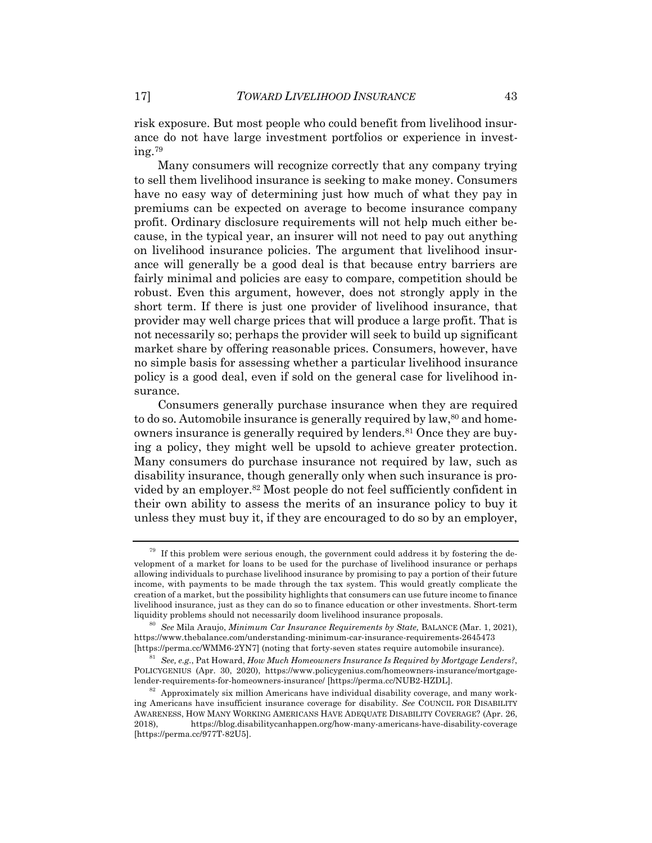risk exposure. But most people who could benefit from livelihood insurance do not have large investment portfolios or experience in investing.79

Many consumers will recognize correctly that any company trying to sell them livelihood insurance is seeking to make money. Consumers have no easy way of determining just how much of what they pay in premiums can be expected on average to become insurance company profit. Ordinary disclosure requirements will not help much either because, in the typical year, an insurer will not need to pay out anything on livelihood insurance policies. The argument that livelihood insurance will generally be a good deal is that because entry barriers are fairly minimal and policies are easy to compare, competition should be robust. Even this argument, however, does not strongly apply in the short term. If there is just one provider of livelihood insurance, that provider may well charge prices that will produce a large profit. That is not necessarily so; perhaps the provider will seek to build up significant market share by offering reasonable prices. Consumers, however, have no simple basis for assessing whether a particular livelihood insurance policy is a good deal, even if sold on the general case for livelihood insurance.

Consumers generally purchase insurance when they are required to do so. Automobile insurance is generally required by  $law$ ,<sup>80</sup> and homeowners insurance is generally required by lenders.81 Once they are buying a policy, they might well be upsold to achieve greater protection. Many consumers do purchase insurance not required by law, such as disability insurance, though generally only when such insurance is provided by an employer.82 Most people do not feel sufficiently confident in their own ability to assess the merits of an insurance policy to buy it unless they must buy it, if they are encouraged to do so by an employer,

 $79$  If this problem were serious enough, the government could address it by fostering the development of a market for loans to be used for the purchase of livelihood insurance or perhaps allowing individuals to purchase livelihood insurance by promising to pay a portion of their future income, with payments to be made through the tax system. This would greatly complicate the creation of a market, but the possibility highlights that consumers can use future income to finance livelihood insurance, just as they can do so to finance education or other investments. Short-term liquidity problems should not necessarily doom livelihood insurance proposals.

<sup>80</sup> *See* Mila Araujo, *Minimum Car Insurance Requirements by State,* BALANCE (Mar. 1, 2021), https://www.thebalance.com/understanding-minimum-car-insurance-requirements-2645473 [https://perma.cc/WMM6-2YN7] (noting that forty-seven states require automobile insurance).

<sup>81</sup> *See, e.g.*, Pat Howard, *How Much Homeowners Insurance Is Required by Mortgage Lenders?*, POLICYGENIUS (Apr. 30, 2020), https://www.policygenius.com/homeowners-insurance/mortgagelender-requirements-for-homeowners-insurance/ [https://perma.cc/NUB2-HZDL].

<sup>82</sup> Approximately six million Americans have individual disability coverage, and many working Americans have insufficient insurance coverage for disability. *See* COUNCIL FOR DISABILITY AWARENESS, HOW MANY WORKING AMERICANS HAVE ADEQUATE DISABILITY COVERAGE? (Apr. 26, 2018), https://blog.disabilitycanhappen.org/how-many-americans-have-disability-coverage [https://perma.cc/977T-82U5].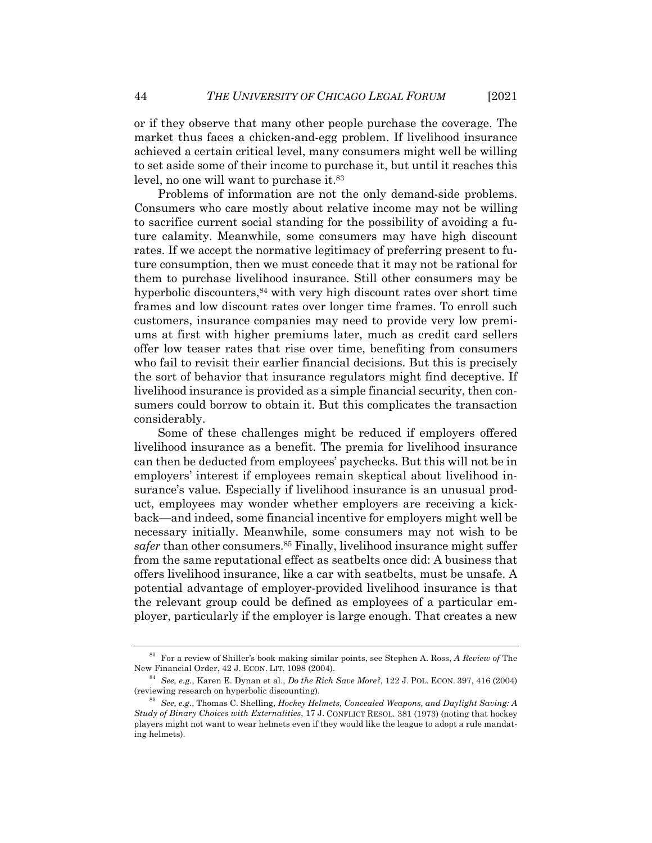or if they observe that many other people purchase the coverage. The market thus faces a chicken-and-egg problem. If livelihood insurance achieved a certain critical level, many consumers might well be willing to set aside some of their income to purchase it, but until it reaches this level, no one will want to purchase it.<sup>83</sup>

Problems of information are not the only demand-side problems. Consumers who care mostly about relative income may not be willing to sacrifice current social standing for the possibility of avoiding a future calamity. Meanwhile, some consumers may have high discount rates. If we accept the normative legitimacy of preferring present to future consumption, then we must concede that it may not be rational for them to purchase livelihood insurance. Still other consumers may be hyperbolic discounters,<sup>84</sup> with very high discount rates over short time frames and low discount rates over longer time frames. To enroll such customers, insurance companies may need to provide very low premiums at first with higher premiums later, much as credit card sellers offer low teaser rates that rise over time, benefiting from consumers who fail to revisit their earlier financial decisions. But this is precisely the sort of behavior that insurance regulators might find deceptive. If livelihood insurance is provided as a simple financial security, then consumers could borrow to obtain it. But this complicates the transaction considerably.

Some of these challenges might be reduced if employers offered livelihood insurance as a benefit. The premia for livelihood insurance can then be deducted from employees' paychecks. But this will not be in employers' interest if employees remain skeptical about livelihood insurance's value. Especially if livelihood insurance is an unusual product, employees may wonder whether employers are receiving a kickback—and indeed, some financial incentive for employers might well be necessary initially. Meanwhile, some consumers may not wish to be safer than other consumers.<sup>85</sup> Finally, livelihood insurance might suffer from the same reputational effect as seatbelts once did: A business that offers livelihood insurance, like a car with seatbelts, must be unsafe. A potential advantage of employer-provided livelihood insurance is that the relevant group could be defined as employees of a particular employer, particularly if the employer is large enough. That creates a new

<sup>83</sup> For a review of Shiller's book making similar points, see Stephen A. Ross, *A Review of* The New Financial Order, 42 J. ECON. LIT. 1098 (2004).

<sup>84</sup> *See, e.g.*, Karen E. Dynan et al., *Do the Rich Save More?*, 122 J. POL. ECON. 397, 416 (2004) (reviewing research on hyperbolic discounting).

<sup>85</sup> *See, e.g.*, Thomas C. Shelling, *Hockey Helmets, Concealed Weapons, and Daylight Saving: A Study of Binary Choices with Externalities*, 17 J. CONFLICT RESOL. 381 (1973) (noting that hockey players might not want to wear helmets even if they would like the league to adopt a rule mandating helmets).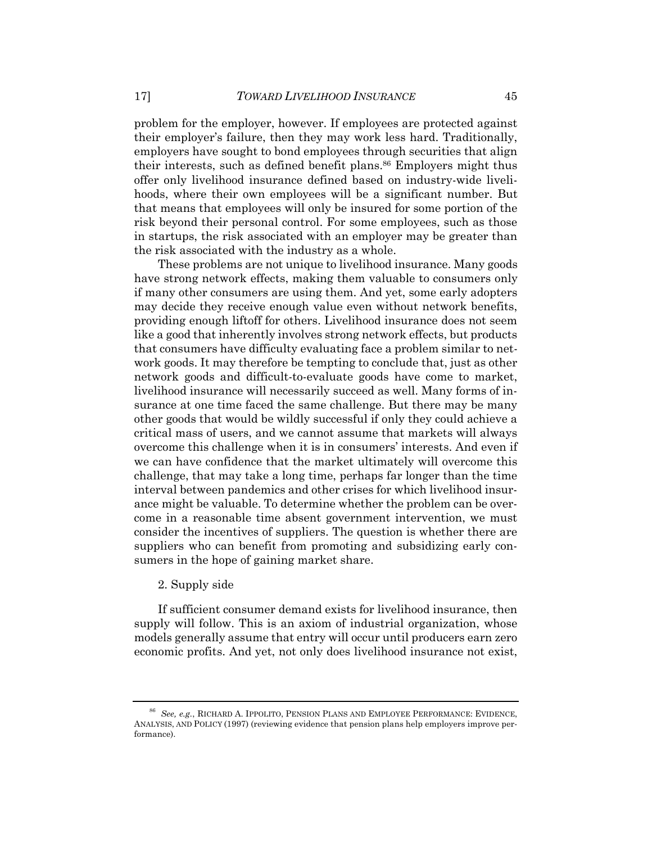problem for the employer, however. If employees are protected against their employer's failure, then they may work less hard. Traditionally, employers have sought to bond employees through securities that align their interests, such as defined benefit plans.<sup>86</sup> Employers might thus offer only livelihood insurance defined based on industry-wide livelihoods, where their own employees will be a significant number. But that means that employees will only be insured for some portion of the risk beyond their personal control. For some employees, such as those in startups, the risk associated with an employer may be greater than the risk associated with the industry as a whole.

These problems are not unique to livelihood insurance. Many goods have strong network effects, making them valuable to consumers only if many other consumers are using them. And yet, some early adopters may decide they receive enough value even without network benefits, providing enough liftoff for others. Livelihood insurance does not seem like a good that inherently involves strong network effects, but products that consumers have difficulty evaluating face a problem similar to network goods. It may therefore be tempting to conclude that, just as other network goods and difficult-to-evaluate goods have come to market, livelihood insurance will necessarily succeed as well. Many forms of insurance at one time faced the same challenge. But there may be many other goods that would be wildly successful if only they could achieve a critical mass of users, and we cannot assume that markets will always overcome this challenge when it is in consumers' interests. And even if we can have confidence that the market ultimately will overcome this challenge, that may take a long time, perhaps far longer than the time interval between pandemics and other crises for which livelihood insurance might be valuable. To determine whether the problem can be overcome in a reasonable time absent government intervention, we must consider the incentives of suppliers. The question is whether there are suppliers who can benefit from promoting and subsidizing early consumers in the hope of gaining market share.

#### 2. Supply side

If sufficient consumer demand exists for livelihood insurance, then supply will follow. This is an axiom of industrial organization, whose models generally assume that entry will occur until producers earn zero economic profits. And yet, not only does livelihood insurance not exist,

<sup>86</sup> *See, e.g.*, RICHARD A. IPPOLITO, PENSION PLANS AND EMPLOYEE PERFORMANCE: EVIDENCE, ANALYSIS, AND POLICY (1997) (reviewing evidence that pension plans help employers improve performance).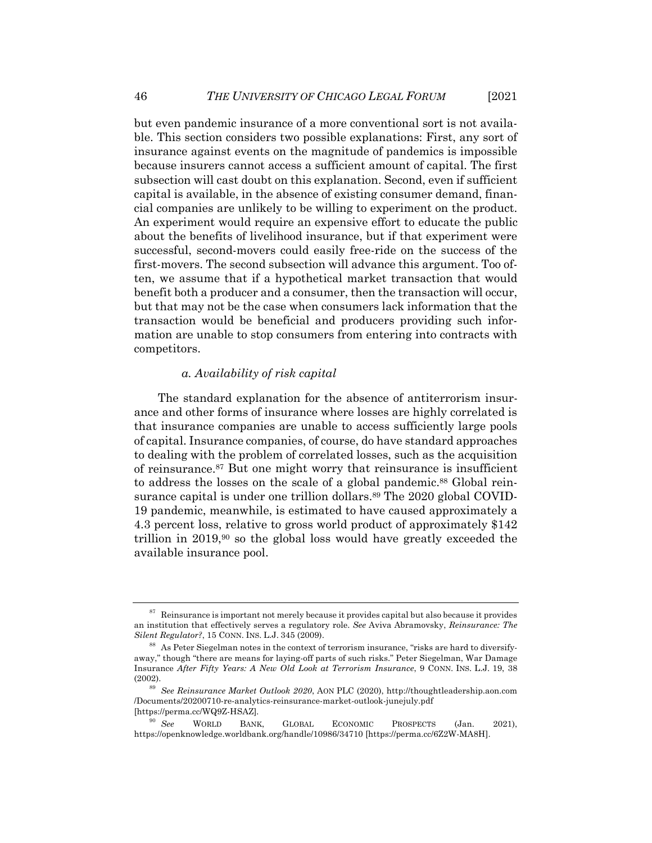but even pandemic insurance of a more conventional sort is not available. This section considers two possible explanations: First, any sort of insurance against events on the magnitude of pandemics is impossible because insurers cannot access a sufficient amount of capital. The first subsection will cast doubt on this explanation. Second, even if sufficient capital is available, in the absence of existing consumer demand, financial companies are unlikely to be willing to experiment on the product. An experiment would require an expensive effort to educate the public about the benefits of livelihood insurance, but if that experiment were successful, second-movers could easily free-ride on the success of the first-movers. The second subsection will advance this argument. Too often, we assume that if a hypothetical market transaction that would benefit both a producer and a consumer, then the transaction will occur, but that may not be the case when consumers lack information that the transaction would be beneficial and producers providing such information are unable to stop consumers from entering into contracts with competitors.

#### *a. Availability of risk capital*

The standard explanation for the absence of antiterrorism insurance and other forms of insurance where losses are highly correlated is that insurance companies are unable to access sufficiently large pools of capital. Insurance companies, of course, do have standard approaches to dealing with the problem of correlated losses, such as the acquisition of reinsurance.87 But one might worry that reinsurance is insufficient to address the losses on the scale of a global pandemic.<sup>88</sup> Global reinsurance capital is under one trillion dollars.<sup>89</sup> The 2020 global COVID-19 pandemic, meanwhile, is estimated to have caused approximately a 4.3 percent loss, relative to gross world product of approximately \$142 trillion in  $2019$ ,<sup>90</sup> so the global loss would have greatly exceeded the available insurance pool.

 $87$  Reinsurance is important not merely because it provides capital but also because it provides an institution that effectively serves a regulatory role. *See* Aviva Abramovsky, *Reinsurance: The Silent Regulator?*, 15 CONN. INS. L.J. 345 (2009).

 $88$  As Peter Siegelman notes in the context of terrorism insurance, "risks are hard to diversifyaway," though "there are means for laying-off parts of such risks." Peter Siegelman, War Damage Insurance *After Fifty Years: A New Old Look at Terrorism Insurance*, 9 CONN. INS. L.J. 19, 38 (2002).

<sup>89</sup> *See Reinsurance Market Outlook 2020*, AON PLC (2020), http://thoughtleadership.aon.com /Documents/20200710-re-analytics-reinsurance-market-outlook-junejuly.pdf [https://perma.cc/WQ9Z-HSAZ]*.*

<sup>90</sup> *See* WORLD BANK, GLOBAL ECONOMIC PROSPECTS (Jan. 2021), https://openknowledge.worldbank.org/handle/10986/34710 [https://perma.cc/6Z2W-MA8H].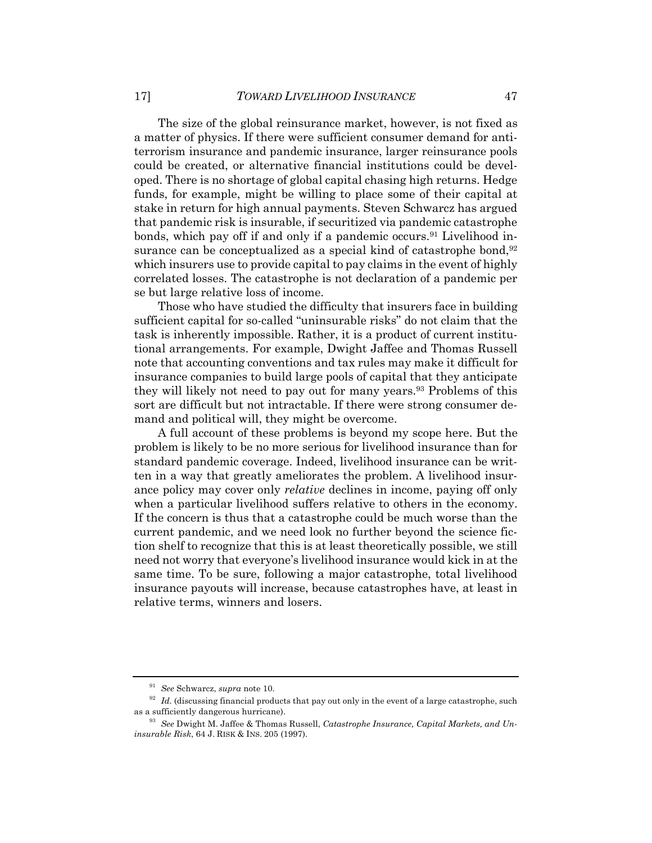The size of the global reinsurance market, however, is not fixed as a matter of physics. If there were sufficient consumer demand for antiterrorism insurance and pandemic insurance, larger reinsurance pools could be created, or alternative financial institutions could be developed. There is no shortage of global capital chasing high returns. Hedge funds, for example, might be willing to place some of their capital at stake in return for high annual payments. Steven Schwarcz has argued that pandemic risk is insurable, if securitized via pandemic catastrophe bonds, which pay off if and only if a pandemic occurs.<sup>91</sup> Livelihood insurance can be conceptualized as a special kind of catastrophe bond,  $92$ which insurers use to provide capital to pay claims in the event of highly correlated losses. The catastrophe is not declaration of a pandemic per se but large relative loss of income.

Those who have studied the difficulty that insurers face in building sufficient capital for so-called "uninsurable risks" do not claim that the task is inherently impossible. Rather, it is a product of current institutional arrangements. For example, Dwight Jaffee and Thomas Russell note that accounting conventions and tax rules may make it difficult for insurance companies to build large pools of capital that they anticipate they will likely not need to pay out for many years.93 Problems of this sort are difficult but not intractable. If there were strong consumer demand and political will, they might be overcome.

A full account of these problems is beyond my scope here. But the problem is likely to be no more serious for livelihood insurance than for standard pandemic coverage. Indeed, livelihood insurance can be written in a way that greatly ameliorates the problem. A livelihood insurance policy may cover only *relative* declines in income, paying off only when a particular livelihood suffers relative to others in the economy. If the concern is thus that a catastrophe could be much worse than the current pandemic, and we need look no further beyond the science fiction shelf to recognize that this is at least theoretically possible, we still need not worry that everyone's livelihood insurance would kick in at the same time. To be sure, following a major catastrophe, total livelihood insurance payouts will increase, because catastrophes have, at least in relative terms, winners and losers.

<sup>91</sup> *See* Schwarcz, *supra* note 10.

<sup>&</sup>lt;sup>92</sup> *Id.* (discussing financial products that pay out only in the event of a large catastrophe, such as a sufficiently dangerous hurricane).

<sup>93</sup> *See* Dwight M. Jaffee & Thomas Russell, *Catastrophe Insurance, Capital Markets, and Uninsurable Risk*, 64 J. RISK & INS. 205 (1997).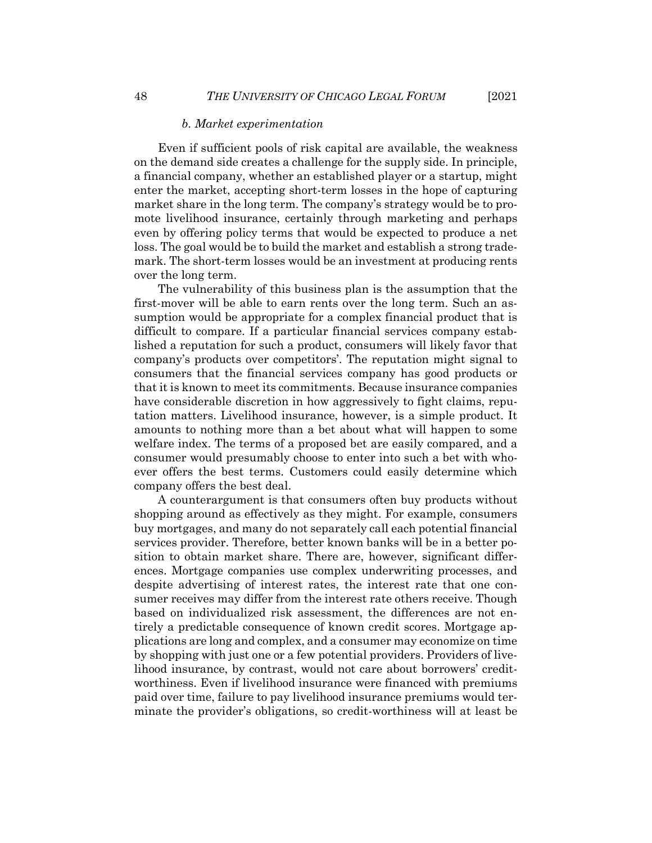#### *b. Market experimentation*

Even if sufficient pools of risk capital are available, the weakness on the demand side creates a challenge for the supply side. In principle, a financial company, whether an established player or a startup, might enter the market, accepting short-term losses in the hope of capturing market share in the long term. The company's strategy would be to promote livelihood insurance, certainly through marketing and perhaps even by offering policy terms that would be expected to produce a net loss. The goal would be to build the market and establish a strong trademark. The short-term losses would be an investment at producing rents over the long term.

The vulnerability of this business plan is the assumption that the first-mover will be able to earn rents over the long term. Such an assumption would be appropriate for a complex financial product that is difficult to compare. If a particular financial services company established a reputation for such a product, consumers will likely favor that company's products over competitors'. The reputation might signal to consumers that the financial services company has good products or that it is known to meet its commitments. Because insurance companies have considerable discretion in how aggressively to fight claims, reputation matters. Livelihood insurance, however, is a simple product. It amounts to nothing more than a bet about what will happen to some welfare index. The terms of a proposed bet are easily compared, and a consumer would presumably choose to enter into such a bet with whoever offers the best terms. Customers could easily determine which company offers the best deal.

A counterargument is that consumers often buy products without shopping around as effectively as they might. For example, consumers buy mortgages, and many do not separately call each potential financial services provider. Therefore, better known banks will be in a better position to obtain market share. There are, however, significant differences. Mortgage companies use complex underwriting processes, and despite advertising of interest rates, the interest rate that one consumer receives may differ from the interest rate others receive. Though based on individualized risk assessment, the differences are not entirely a predictable consequence of known credit scores. Mortgage applications are long and complex, and a consumer may economize on time by shopping with just one or a few potential providers. Providers of livelihood insurance, by contrast, would not care about borrowers' creditworthiness. Even if livelihood insurance were financed with premiums paid over time, failure to pay livelihood insurance premiums would terminate the provider's obligations, so credit-worthiness will at least be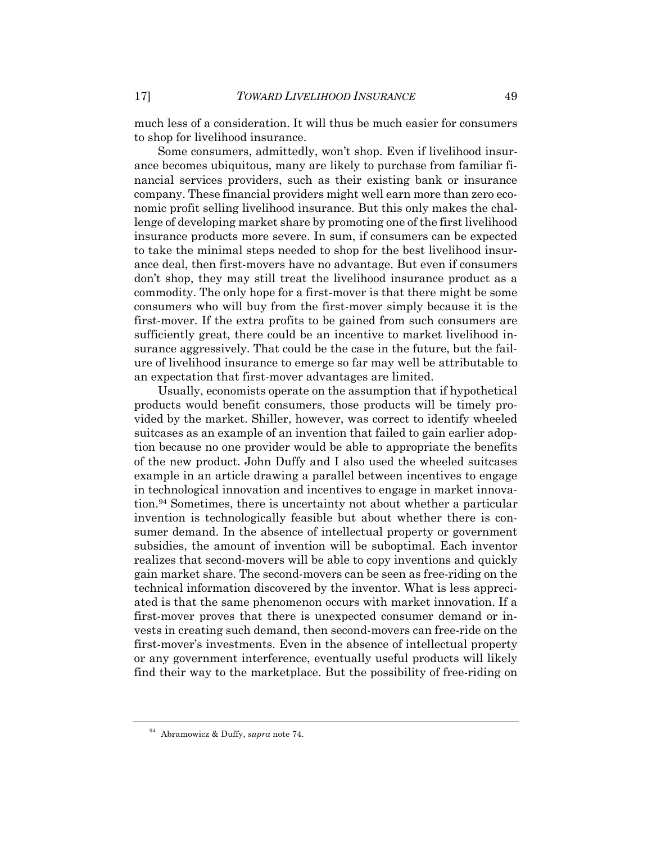much less of a consideration. It will thus be much easier for consumers to shop for livelihood insurance.

Some consumers, admittedly, won't shop. Even if livelihood insurance becomes ubiquitous, many are likely to purchase from familiar financial services providers, such as their existing bank or insurance company. These financial providers might well earn more than zero economic profit selling livelihood insurance. But this only makes the challenge of developing market share by promoting one of the first livelihood insurance products more severe. In sum, if consumers can be expected to take the minimal steps needed to shop for the best livelihood insurance deal, then first-movers have no advantage. But even if consumers don't shop, they may still treat the livelihood insurance product as a commodity. The only hope for a first-mover is that there might be some consumers who will buy from the first-mover simply because it is the first-mover. If the extra profits to be gained from such consumers are sufficiently great, there could be an incentive to market livelihood insurance aggressively. That could be the case in the future, but the failure of livelihood insurance to emerge so far may well be attributable to an expectation that first-mover advantages are limited.

Usually, economists operate on the assumption that if hypothetical products would benefit consumers, those products will be timely provided by the market. Shiller, however, was correct to identify wheeled suitcases as an example of an invention that failed to gain earlier adoption because no one provider would be able to appropriate the benefits of the new product. John Duffy and I also used the wheeled suitcases example in an article drawing a parallel between incentives to engage in technological innovation and incentives to engage in market innovation.94 Sometimes, there is uncertainty not about whether a particular invention is technologically feasible but about whether there is consumer demand. In the absence of intellectual property or government subsidies, the amount of invention will be suboptimal. Each inventor realizes that second-movers will be able to copy inventions and quickly gain market share. The second-movers can be seen as free-riding on the technical information discovered by the inventor. What is less appreciated is that the same phenomenon occurs with market innovation. If a first-mover proves that there is unexpected consumer demand or invests in creating such demand, then second-movers can free-ride on the first-mover's investments. Even in the absence of intellectual property or any government interference, eventually useful products will likely find their way to the marketplace. But the possibility of free-riding on

<sup>94</sup> Abramowicz & Duffy, *supra* note 74.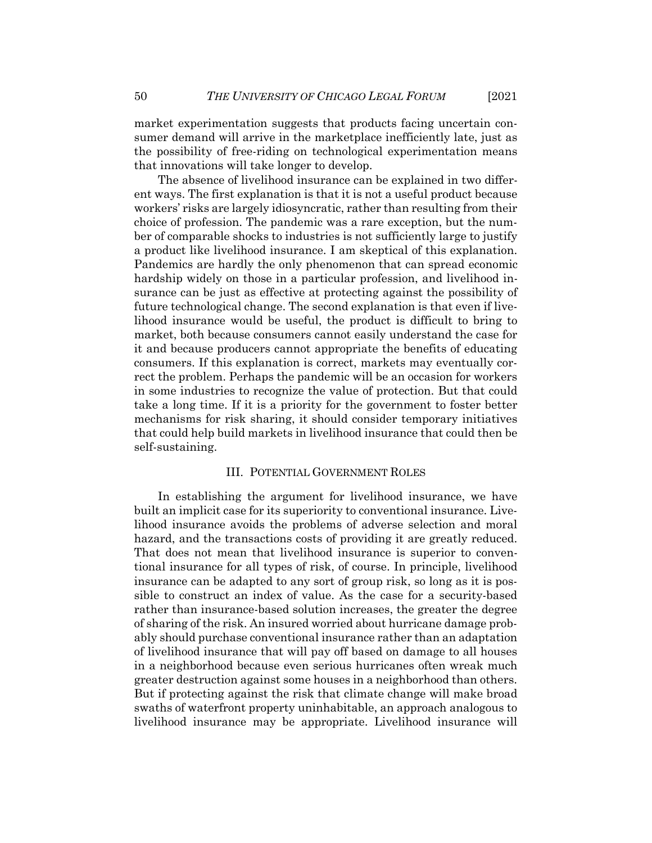market experimentation suggests that products facing uncertain consumer demand will arrive in the marketplace inefficiently late, just as the possibility of free-riding on technological experimentation means that innovations will take longer to develop.

The absence of livelihood insurance can be explained in two different ways. The first explanation is that it is not a useful product because workers' risks are largely idiosyncratic, rather than resulting from their choice of profession. The pandemic was a rare exception, but the number of comparable shocks to industries is not sufficiently large to justify a product like livelihood insurance. I am skeptical of this explanation. Pandemics are hardly the only phenomenon that can spread economic hardship widely on those in a particular profession, and livelihood insurance can be just as effective at protecting against the possibility of future technological change. The second explanation is that even if livelihood insurance would be useful, the product is difficult to bring to market, both because consumers cannot easily understand the case for it and because producers cannot appropriate the benefits of educating consumers. If this explanation is correct, markets may eventually correct the problem. Perhaps the pandemic will be an occasion for workers in some industries to recognize the value of protection. But that could take a long time. If it is a priority for the government to foster better mechanisms for risk sharing, it should consider temporary initiatives that could help build markets in livelihood insurance that could then be self-sustaining.

#### III. POTENTIAL GOVERNMENT ROLES

In establishing the argument for livelihood insurance, we have built an implicit case for its superiority to conventional insurance. Livelihood insurance avoids the problems of adverse selection and moral hazard, and the transactions costs of providing it are greatly reduced. That does not mean that livelihood insurance is superior to conventional insurance for all types of risk, of course. In principle, livelihood insurance can be adapted to any sort of group risk, so long as it is possible to construct an index of value. As the case for a security-based rather than insurance-based solution increases, the greater the degree of sharing of the risk. An insured worried about hurricane damage probably should purchase conventional insurance rather than an adaptation of livelihood insurance that will pay off based on damage to all houses in a neighborhood because even serious hurricanes often wreak much greater destruction against some houses in a neighborhood than others. But if protecting against the risk that climate change will make broad swaths of waterfront property uninhabitable, an approach analogous to livelihood insurance may be appropriate. Livelihood insurance will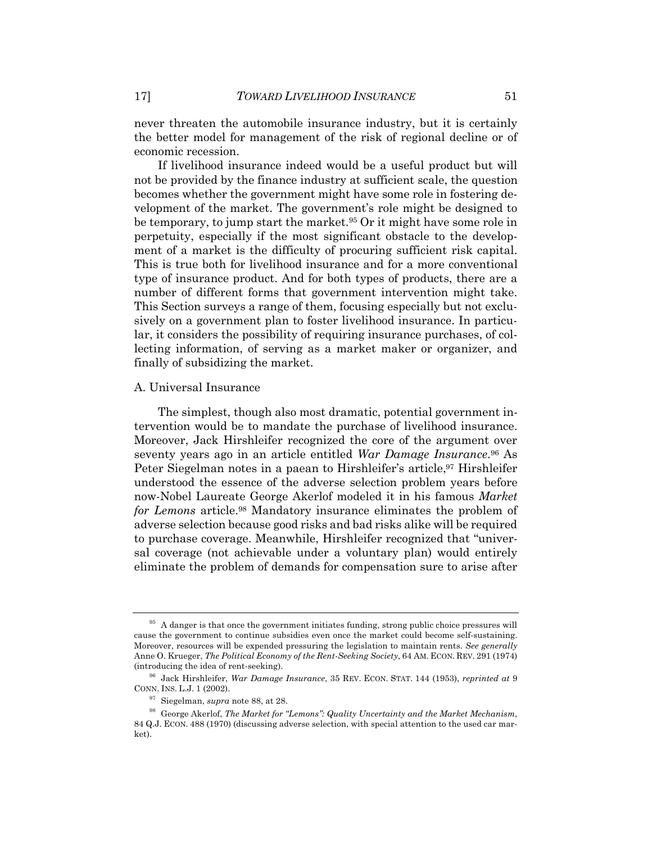never threaten the automobile insurance industry, but it is certainly the better model for management of the risk of regional decline or of economic recession.

If livelihood insurance indeed would be a useful product but will not be provided by the finance industry at sufficient scale, the question becomes whether the government might have some role in fostering development of the market. The government's role might be designed to be temporary, to jump start the market.<sup>95</sup> Or it might have some role in perpetuity, especially if the most significant obstacle to the development of a market is the difficulty of procuring sufficient risk capital. This is true both for livelihood insurance and for a more conventional type of insurance product. And for both types of products, there are a number of different forms that government intervention might take. This Section surveys a range of them, focusing especially but not exclusively on a government plan to foster livelihood insurance. In particular, it considers the possibility of requiring insurance purchases, of collecting information, of serving as a market maker or organizer, and finally of subsidizing the market.

#### A. Universal Insurance

The simplest, though also most dramatic, potential government intervention would be to mandate the purchase of livelihood insurance. Moreover, Jack Hirshleifer recognized the core of the argument over seventy years ago in an article entitled *War Damage Insurance*. <sup>96</sup> As Peter Siegelman notes in a paean to Hirshleifer's article,<sup>97</sup> Hirshleifer understood the essence of the adverse selection problem years before now-Nobel Laureate George Akerlof modeled it in his famous *Market for Lemons* article.98 Mandatory insurance eliminates the problem of adverse selection because good risks and bad risks alike will be required to purchase coverage. Meanwhile, Hirshleifer recognized that "universal coverage (not achievable under a voluntary plan) would entirely eliminate the problem of demands for compensation sure to arise after

<sup>&</sup>lt;sup>95</sup> A danger is that once the government initiates funding, strong public choice pressures will cause the government to continue subsidies even once the market could become self-sustaining. Moreover, resources will be expended pressuring the legislation to maintain rents. *See generally* Anne O. Krueger, *The Political Economy of the Rent-Seeking Society*, 64 AM. ECON. REV. 291 (1974) (introducing the idea of rent-seeking).

<sup>96</sup> Jack Hirshleifer, *War Damage Insurance*, 35 REV. ECON. STAT. 144 (1953), *reprinted at* 9 CONN. INS. L.J. 1 (2002).

<sup>97</sup> Siegelman, *supra* note 88, at 28.

<sup>98</sup> George Akerlof, *The Market for "Lemons": Quality Uncertainty and the Market Mechanism*, 84 Q.J. ECON. 488 (1970) (discussing adverse selection, with special attention to the used car market).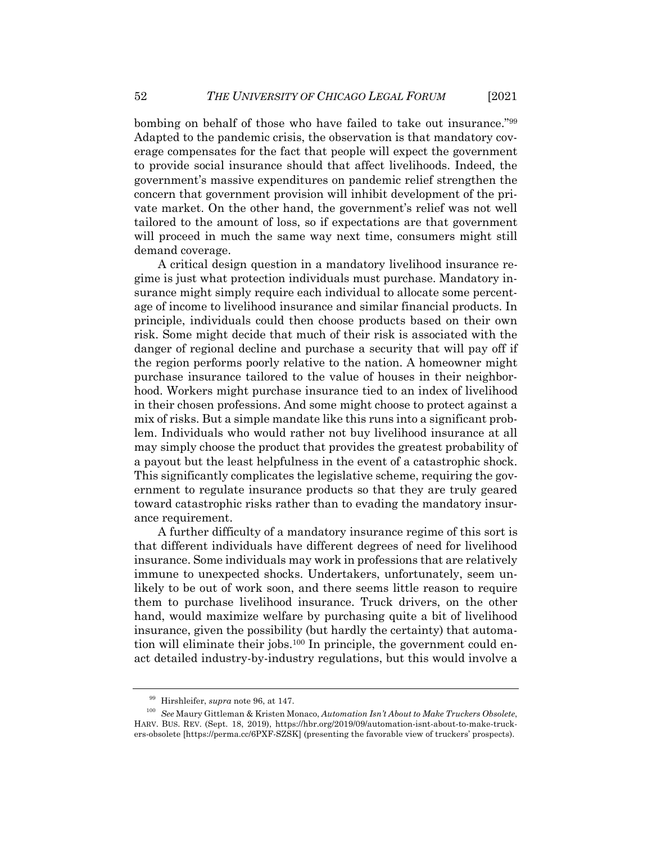bombing on behalf of those who have failed to take out insurance."99 Adapted to the pandemic crisis, the observation is that mandatory coverage compensates for the fact that people will expect the government to provide social insurance should that affect livelihoods. Indeed, the government's massive expenditures on pandemic relief strengthen the concern that government provision will inhibit development of the private market. On the other hand, the government's relief was not well tailored to the amount of loss, so if expectations are that government will proceed in much the same way next time, consumers might still demand coverage.

A critical design question in a mandatory livelihood insurance regime is just what protection individuals must purchase. Mandatory insurance might simply require each individual to allocate some percentage of income to livelihood insurance and similar financial products. In principle, individuals could then choose products based on their own risk. Some might decide that much of their risk is associated with the danger of regional decline and purchase a security that will pay off if the region performs poorly relative to the nation. A homeowner might purchase insurance tailored to the value of houses in their neighborhood. Workers might purchase insurance tied to an index of livelihood in their chosen professions. And some might choose to protect against a mix of risks. But a simple mandate like this runs into a significant problem. Individuals who would rather not buy livelihood insurance at all may simply choose the product that provides the greatest probability of a payout but the least helpfulness in the event of a catastrophic shock. This significantly complicates the legislative scheme, requiring the government to regulate insurance products so that they are truly geared toward catastrophic risks rather than to evading the mandatory insurance requirement.

A further difficulty of a mandatory insurance regime of this sort is that different individuals have different degrees of need for livelihood insurance. Some individuals may work in professions that are relatively immune to unexpected shocks. Undertakers, unfortunately, seem unlikely to be out of work soon, and there seems little reason to require them to purchase livelihood insurance. Truck drivers, on the other hand, would maximize welfare by purchasing quite a bit of livelihood insurance, given the possibility (but hardly the certainty) that automation will eliminate their jobs.<sup>100</sup> In principle, the government could enact detailed industry-by-industry regulations, but this would involve a

<sup>99</sup> Hirshleifer, *supra* note 96, at 147.

<sup>100</sup> *See* Maury Gittleman & Kristen Monaco, *Automation Isn't About to Make Truckers Obsolete*, HARV. BUS. REV. (Sept. 18, 2019), https://hbr.org/2019/09/automation-isnt-about-to-make-truckers-obsolete [https://perma.cc/6PXF-SZSK] (presenting the favorable view of truckers' prospects).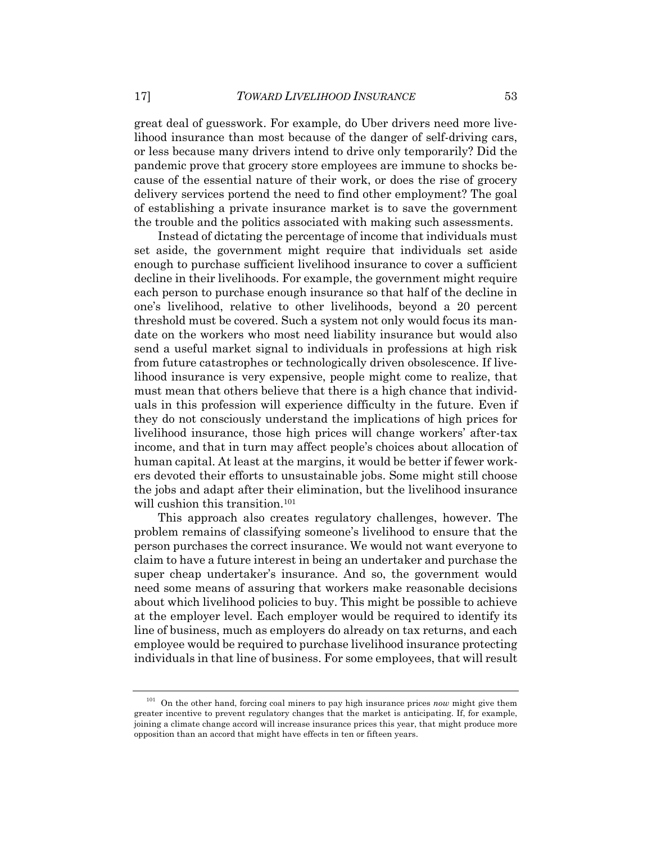great deal of guesswork. For example, do Uber drivers need more livelihood insurance than most because of the danger of self-driving cars, or less because many drivers intend to drive only temporarily? Did the pandemic prove that grocery store employees are immune to shocks because of the essential nature of their work, or does the rise of grocery delivery services portend the need to find other employment? The goal of establishing a private insurance market is to save the government the trouble and the politics associated with making such assessments.

Instead of dictating the percentage of income that individuals must set aside, the government might require that individuals set aside enough to purchase sufficient livelihood insurance to cover a sufficient decline in their livelihoods. For example, the government might require each person to purchase enough insurance so that half of the decline in one's livelihood, relative to other livelihoods, beyond a 20 percent threshold must be covered. Such a system not only would focus its mandate on the workers who most need liability insurance but would also send a useful market signal to individuals in professions at high risk from future catastrophes or technologically driven obsolescence. If livelihood insurance is very expensive, people might come to realize, that must mean that others believe that there is a high chance that individuals in this profession will experience difficulty in the future. Even if they do not consciously understand the implications of high prices for livelihood insurance, those high prices will change workers' after-tax income, and that in turn may affect people's choices about allocation of human capital. At least at the margins, it would be better if fewer workers devoted their efforts to unsustainable jobs. Some might still choose the jobs and adapt after their elimination, but the livelihood insurance will cushion this transition.<sup>101</sup>

This approach also creates regulatory challenges, however. The problem remains of classifying someone's livelihood to ensure that the person purchases the correct insurance. We would not want everyone to claim to have a future interest in being an undertaker and purchase the super cheap undertaker's insurance. And so, the government would need some means of assuring that workers make reasonable decisions about which livelihood policies to buy. This might be possible to achieve at the employer level. Each employer would be required to identify its line of business, much as employers do already on tax returns, and each employee would be required to purchase livelihood insurance protecting individuals in that line of business. For some employees, that will result

<sup>101</sup> On the other hand, forcing coal miners to pay high insurance prices *now* might give them greater incentive to prevent regulatory changes that the market is anticipating. If, for example, joining a climate change accord will increase insurance prices this year, that might produce more opposition than an accord that might have effects in ten or fifteen years.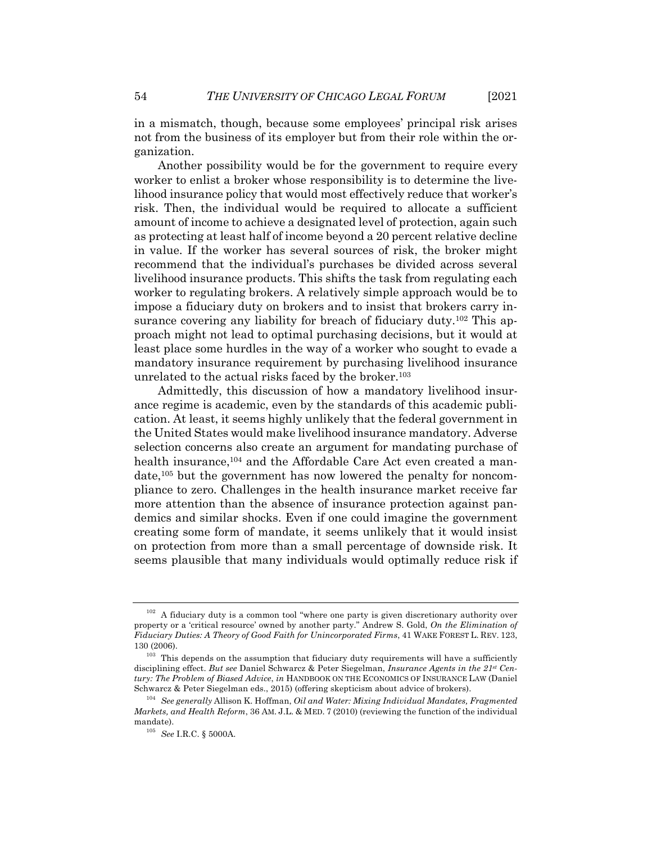in a mismatch, though, because some employees' principal risk arises not from the business of its employer but from their role within the organization.

Another possibility would be for the government to require every worker to enlist a broker whose responsibility is to determine the livelihood insurance policy that would most effectively reduce that worker's risk. Then, the individual would be required to allocate a sufficient amount of income to achieve a designated level of protection, again such as protecting at least half of income beyond a 20 percent relative decline in value. If the worker has several sources of risk, the broker might recommend that the individual's purchases be divided across several livelihood insurance products. This shifts the task from regulating each worker to regulating brokers. A relatively simple approach would be to impose a fiduciary duty on brokers and to insist that brokers carry insurance covering any liability for breach of fiduciary duty.<sup>102</sup> This approach might not lead to optimal purchasing decisions, but it would at least place some hurdles in the way of a worker who sought to evade a mandatory insurance requirement by purchasing livelihood insurance unrelated to the actual risks faced by the broker.103

Admittedly, this discussion of how a mandatory livelihood insurance regime is academic, even by the standards of this academic publication. At least, it seems highly unlikely that the federal government in the United States would make livelihood insurance mandatory. Adverse selection concerns also create an argument for mandating purchase of health insurance,<sup>104</sup> and the Affordable Care Act even created a mandate,105 but the government has now lowered the penalty for noncompliance to zero. Challenges in the health insurance market receive far more attention than the absence of insurance protection against pandemics and similar shocks. Even if one could imagine the government creating some form of mandate, it seems unlikely that it would insist on protection from more than a small percentage of downside risk. It seems plausible that many individuals would optimally reduce risk if

 $102$  A fiduciary duty is a common tool "where one party is given discretionary authority over property or a 'critical resource' owned by another party." Andrew S. Gold, *On the Elimination of Fiduciary Duties: A Theory of Good Faith for Unincorporated Firms*, 41 WAKE FOREST L. REV. 123, 130 (2006).

<sup>&</sup>lt;sup>103</sup> This depends on the assumption that fiduciary duty requirements will have a sufficiently disciplining effect. *But see* Daniel Schwarcz & Peter Siegelman, *Insurance Agents in the 21st Century: The Problem of Biased Advice*, *in* HANDBOOK ON THE ECONOMICS OF INSURANCE LAW (Daniel Schwarcz & Peter Siegelman eds., 2015) (offering skepticism about advice of brokers).

<sup>104</sup> *See generally* Allison K. Hoffman, *Oil and Water: Mixing Individual Mandates, Fragmented Markets, and Health Reform*, 36 AM. J.L. & MED. 7 (2010) (reviewing the function of the individual mandate).

<sup>105</sup> *See* I.R.C. § 5000A.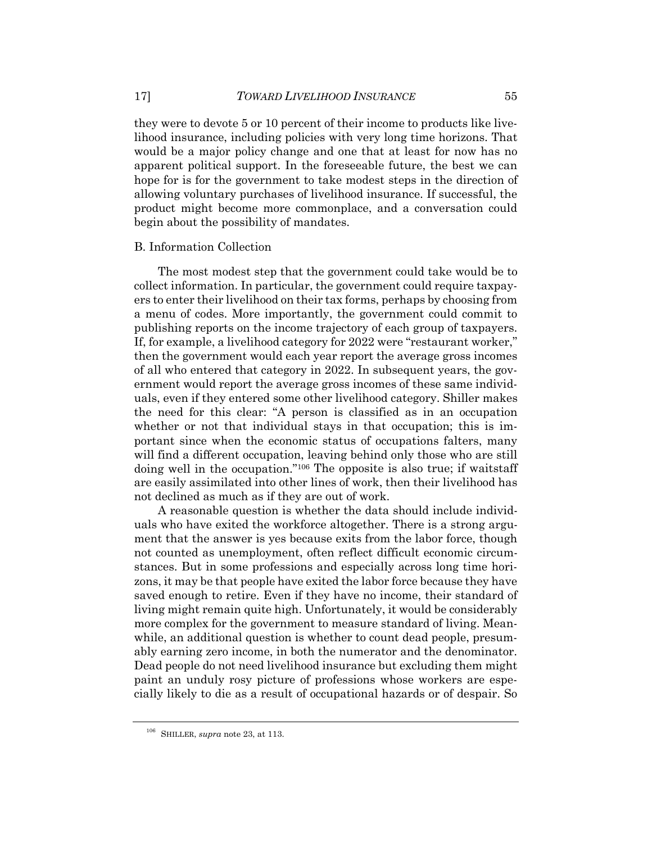they were to devote 5 or 10 percent of their income to products like livelihood insurance, including policies with very long time horizons. That would be a major policy change and one that at least for now has no apparent political support. In the foreseeable future, the best we can hope for is for the government to take modest steps in the direction of allowing voluntary purchases of livelihood insurance. If successful, the product might become more commonplace, and a conversation could begin about the possibility of mandates.

#### B. Information Collection

The most modest step that the government could take would be to collect information. In particular, the government could require taxpayers to enter their livelihood on their tax forms, perhaps by choosing from a menu of codes. More importantly, the government could commit to publishing reports on the income trajectory of each group of taxpayers. If, for example, a livelihood category for 2022 were "restaurant worker," then the government would each year report the average gross incomes of all who entered that category in 2022. In subsequent years, the government would report the average gross incomes of these same individuals, even if they entered some other livelihood category. Shiller makes the need for this clear: "A person is classified as in an occupation whether or not that individual stays in that occupation; this is important since when the economic status of occupations falters, many will find a different occupation, leaving behind only those who are still doing well in the occupation."106 The opposite is also true; if waitstaff are easily assimilated into other lines of work, then their livelihood has not declined as much as if they are out of work.

A reasonable question is whether the data should include individuals who have exited the workforce altogether. There is a strong argument that the answer is yes because exits from the labor force, though not counted as unemployment, often reflect difficult economic circumstances. But in some professions and especially across long time horizons, it may be that people have exited the labor force because they have saved enough to retire. Even if they have no income, their standard of living might remain quite high. Unfortunately, it would be considerably more complex for the government to measure standard of living. Meanwhile, an additional question is whether to count dead people, presumably earning zero income, in both the numerator and the denominator. Dead people do not need livelihood insurance but excluding them might paint an unduly rosy picture of professions whose workers are especially likely to die as a result of occupational hazards or of despair. So

<sup>106</sup> SHILLER, *supra* note 23, at 113.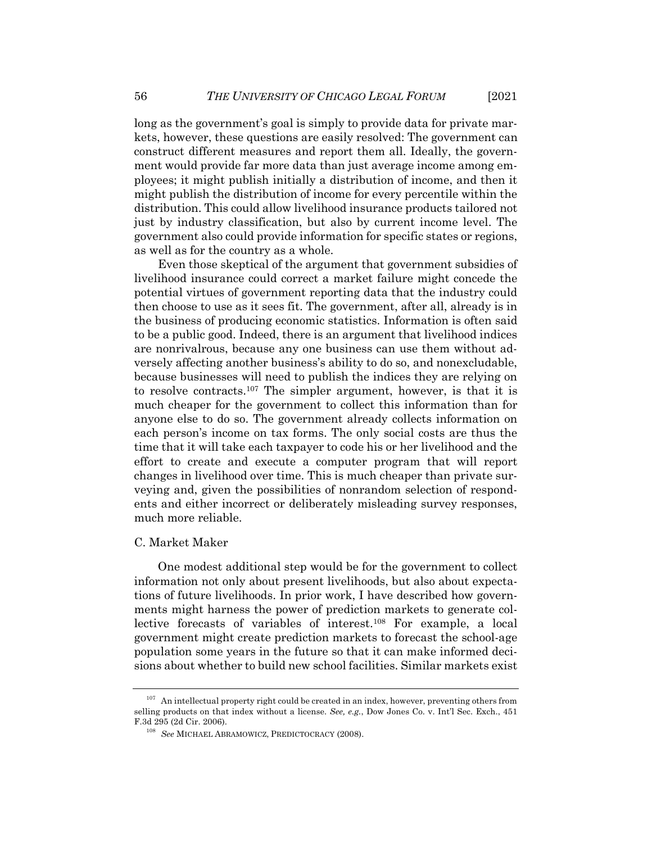long as the government's goal is simply to provide data for private markets, however, these questions are easily resolved: The government can construct different measures and report them all. Ideally, the government would provide far more data than just average income among employees; it might publish initially a distribution of income, and then it might publish the distribution of income for every percentile within the distribution. This could allow livelihood insurance products tailored not just by industry classification, but also by current income level. The government also could provide information for specific states or regions, as well as for the country as a whole.

Even those skeptical of the argument that government subsidies of livelihood insurance could correct a market failure might concede the potential virtues of government reporting data that the industry could then choose to use as it sees fit. The government, after all, already is in the business of producing economic statistics. Information is often said to be a public good. Indeed, there is an argument that livelihood indices are nonrivalrous, because any one business can use them without adversely affecting another business's ability to do so, and nonexcludable, because businesses will need to publish the indices they are relying on to resolve contracts.107 The simpler argument, however, is that it is much cheaper for the government to collect this information than for anyone else to do so. The government already collects information on each person's income on tax forms. The only social costs are thus the time that it will take each taxpayer to code his or her livelihood and the effort to create and execute a computer program that will report changes in livelihood over time. This is much cheaper than private surveying and, given the possibilities of nonrandom selection of respondents and either incorrect or deliberately misleading survey responses, much more reliable.

#### C. Market Maker

One modest additional step would be for the government to collect information not only about present livelihoods, but also about expectations of future livelihoods. In prior work, I have described how governments might harness the power of prediction markets to generate collective forecasts of variables of interest.108 For example, a local government might create prediction markets to forecast the school-age population some years in the future so that it can make informed decisions about whether to build new school facilities. Similar markets exist

 $107$  An intellectual property right could be created in an index, however, preventing others from selling products on that index without a license. *See, e.g.*, Dow Jones Co. v. Int'l Sec. Exch., 451 F.3d 295 (2d Cir. 2006).

<sup>108</sup> *See* MICHAEL ABRAMOWICZ, PREDICTOCRACY (2008).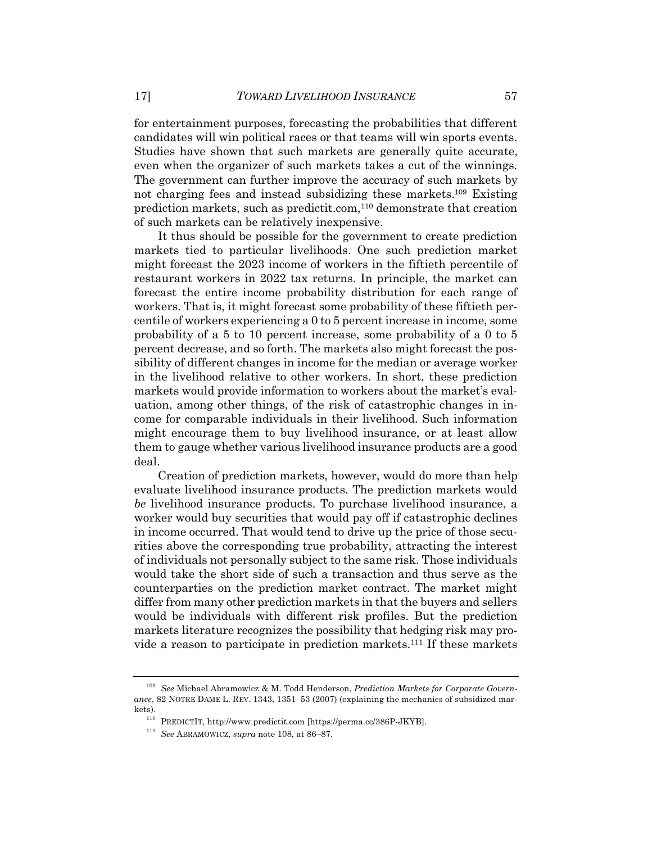for entertainment purposes, forecasting the probabilities that different candidates will win political races or that teams will win sports events. Studies have shown that such markets are generally quite accurate, even when the organizer of such markets takes a cut of the winnings. The government can further improve the accuracy of such markets by not charging fees and instead subsidizing these markets.109 Existing prediction markets, such as predictit.com,110 demonstrate that creation of such markets can be relatively inexpensive.

It thus should be possible for the government to create prediction markets tied to particular livelihoods. One such prediction market might forecast the 2023 income of workers in the fiftieth percentile of restaurant workers in 2022 tax returns. In principle, the market can forecast the entire income probability distribution for each range of workers. That is, it might forecast some probability of these fiftieth percentile of workers experiencing a 0 to 5 percent increase in income, some probability of a 5 to 10 percent increase, some probability of a 0 to 5 percent decrease, and so forth. The markets also might forecast the possibility of different changes in income for the median or average worker in the livelihood relative to other workers. In short, these prediction markets would provide information to workers about the market's evaluation, among other things, of the risk of catastrophic changes in income for comparable individuals in their livelihood. Such information might encourage them to buy livelihood insurance, or at least allow them to gauge whether various livelihood insurance products are a good deal.

Creation of prediction markets, however, would do more than help evaluate livelihood insurance products. The prediction markets would *be* livelihood insurance products. To purchase livelihood insurance, a worker would buy securities that would pay off if catastrophic declines in income occurred. That would tend to drive up the price of those securities above the corresponding true probability, attracting the interest of individuals not personally subject to the same risk. Those individuals would take the short side of such a transaction and thus serve as the counterparties on the prediction market contract. The market might differ from many other prediction markets in that the buyers and sellers would be individuals with different risk profiles. But the prediction markets literature recognizes the possibility that hedging risk may provide a reason to participate in prediction markets.111 If these markets

<sup>109</sup> *See* Michael Abramowicz & M. Todd Henderson, *Prediction Markets for Corporate Governance*, 82 NOTRE DAME L. REV. 1343, 1351–53 (2007) (explaining the mechanics of subsidized markets).

 $^{110}$  PREDICTIT, http://www.predictit.com [https://perma.cc/386P-JKYB].

<sup>111</sup> *See* ABRAMOWICZ, *supra* note 108, at 86–87.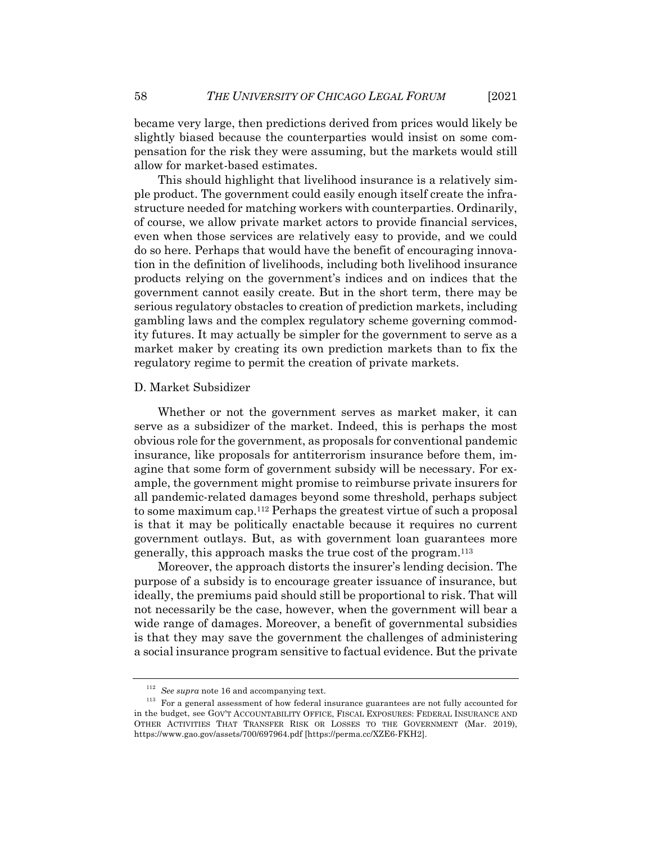became very large, then predictions derived from prices would likely be slightly biased because the counterparties would insist on some compensation for the risk they were assuming, but the markets would still allow for market-based estimates.

This should highlight that livelihood insurance is a relatively simple product. The government could easily enough itself create the infrastructure needed for matching workers with counterparties. Ordinarily, of course, we allow private market actors to provide financial services, even when those services are relatively easy to provide, and we could do so here. Perhaps that would have the benefit of encouraging innovation in the definition of livelihoods, including both livelihood insurance products relying on the government's indices and on indices that the government cannot easily create. But in the short term, there may be serious regulatory obstacles to creation of prediction markets, including gambling laws and the complex regulatory scheme governing commodity futures. It may actually be simpler for the government to serve as a market maker by creating its own prediction markets than to fix the regulatory regime to permit the creation of private markets.

#### D. Market Subsidizer

Whether or not the government serves as market maker, it can serve as a subsidizer of the market. Indeed, this is perhaps the most obvious role for the government, as proposals for conventional pandemic insurance, like proposals for antiterrorism insurance before them, imagine that some form of government subsidy will be necessary. For example, the government might promise to reimburse private insurers for all pandemic-related damages beyond some threshold, perhaps subject to some maximum cap.112 Perhaps the greatest virtue of such a proposal is that it may be politically enactable because it requires no current government outlays. But, as with government loan guarantees more generally, this approach masks the true cost of the program.113

Moreover, the approach distorts the insurer's lending decision. The purpose of a subsidy is to encourage greater issuance of insurance, but ideally, the premiums paid should still be proportional to risk. That will not necessarily be the case, however, when the government will bear a wide range of damages. Moreover, a benefit of governmental subsidies is that they may save the government the challenges of administering a social insurance program sensitive to factual evidence. But the private

<sup>112</sup> *See supra* note 16 and accompanying text.

<sup>&</sup>lt;sup>113</sup> For a general assessment of how federal insurance guarantees are not fully accounted for in the budget, see GOV'T ACCOUNTABILITY OFFICE, FISCAL EXPOSURES: FEDERAL INSURANCE AND OTHER ACTIVITIES THAT TRANSFER RISK OR LOSSES TO THE GOVERNMENT (Mar. 2019), https://www.gao.gov/assets/700/697964.pdf [https://perma.cc/XZE6-FKH2].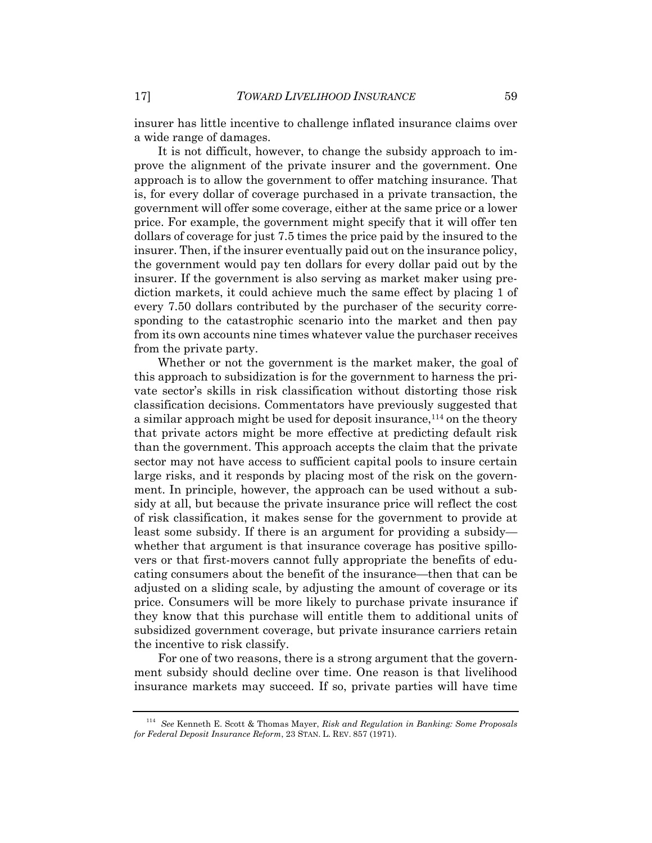insurer has little incentive to challenge inflated insurance claims over a wide range of damages.

It is not difficult, however, to change the subsidy approach to improve the alignment of the private insurer and the government. One approach is to allow the government to offer matching insurance. That is, for every dollar of coverage purchased in a private transaction, the government will offer some coverage, either at the same price or a lower price. For example, the government might specify that it will offer ten dollars of coverage for just 7.5 times the price paid by the insured to the insurer. Then, if the insurer eventually paid out on the insurance policy, the government would pay ten dollars for every dollar paid out by the insurer. If the government is also serving as market maker using prediction markets, it could achieve much the same effect by placing 1 of every 7.50 dollars contributed by the purchaser of the security corresponding to the catastrophic scenario into the market and then pay from its own accounts nine times whatever value the purchaser receives from the private party.

Whether or not the government is the market maker, the goal of this approach to subsidization is for the government to harness the private sector's skills in risk classification without distorting those risk classification decisions. Commentators have previously suggested that a similar approach might be used for deposit insurance,<sup>114</sup> on the theory that private actors might be more effective at predicting default risk than the government. This approach accepts the claim that the private sector may not have access to sufficient capital pools to insure certain large risks, and it responds by placing most of the risk on the government. In principle, however, the approach can be used without a subsidy at all, but because the private insurance price will reflect the cost of risk classification, it makes sense for the government to provide at least some subsidy. If there is an argument for providing a subsidy whether that argument is that insurance coverage has positive spillovers or that first-movers cannot fully appropriate the benefits of educating consumers about the benefit of the insurance—then that can be adjusted on a sliding scale, by adjusting the amount of coverage or its price. Consumers will be more likely to purchase private insurance if they know that this purchase will entitle them to additional units of subsidized government coverage, but private insurance carriers retain the incentive to risk classify.

For one of two reasons, there is a strong argument that the government subsidy should decline over time. One reason is that livelihood insurance markets may succeed. If so, private parties will have time

<sup>114</sup> *See* Kenneth E. Scott & Thomas Mayer, *Risk and Regulation in Banking: Some Proposals for Federal Deposit Insurance Reform*, 23 STAN. L. REV. 857 (1971).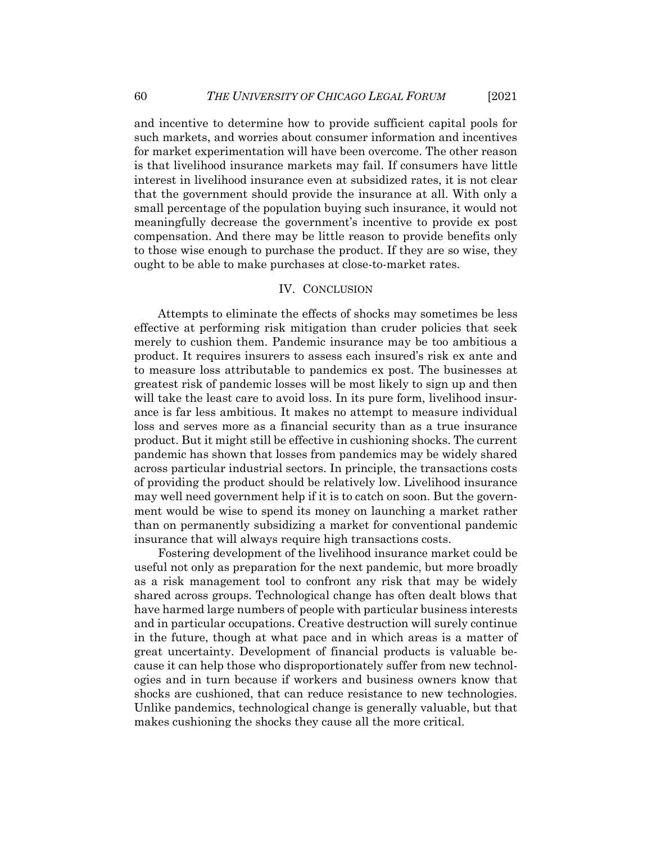and incentive to determine how to provide sufficient capital pools for such markets, and worries about consumer information and incentives for market experimentation will have been overcome. The other reason is that livelihood insurance markets may fail. If consumers have little interest in livelihood insurance even at subsidized rates, it is not clear that the government should provide the insurance at all. With only a small percentage of the population buying such insurance, it would not meaningfully decrease the government's incentive to provide ex post compensation. And there may be little reason to provide benefits only to those wise enough to purchase the product. If they are so wise, they ought to be able to make purchases at close-to-market rates.

### IV. CONCLUSION

Attempts to eliminate the effects of shocks may sometimes be less effective at performing risk mitigation than cruder policies that seek merely to cushion them. Pandemic insurance may be too ambitious a product. It requires insurers to assess each insured's risk ex ante and to measure loss attributable to pandemics ex post. The businesses at greatest risk of pandemic losses will be most likely to sign up and then will take the least care to avoid loss. In its pure form, livelihood insurance is far less ambitious. It makes no attempt to measure individual loss and serves more as a financial security than as a true insurance product. But it might still be effective in cushioning shocks. The current pandemic has shown that losses from pandemics may be widely shared across particular industrial sectors. In principle, the transactions costs of providing the product should be relatively low. Livelihood insurance may well need government help if it is to catch on soon. But the government would be wise to spend its money on launching a market rather than on permanently subsidizing a market for conventional pandemic insurance that will always require high transactions costs.

Fostering development of the livelihood insurance market could be useful not only as preparation for the next pandemic, but more broadly as a risk management tool to confront any risk that may be widely shared across groups. Technological change has often dealt blows that have harmed large numbers of people with particular business interests and in particular occupations. Creative destruction will surely continue in the future, though at what pace and in which areas is a matter of great uncertainty. Development of financial products is valuable because it can help those who disproportionately suffer from new technologies and in turn because if workers and business owners know that shocks are cushioned, that can reduce resistance to new technologies. Unlike pandemics, technological change is generally valuable, but that makes cushioning the shocks they cause all the more critical.